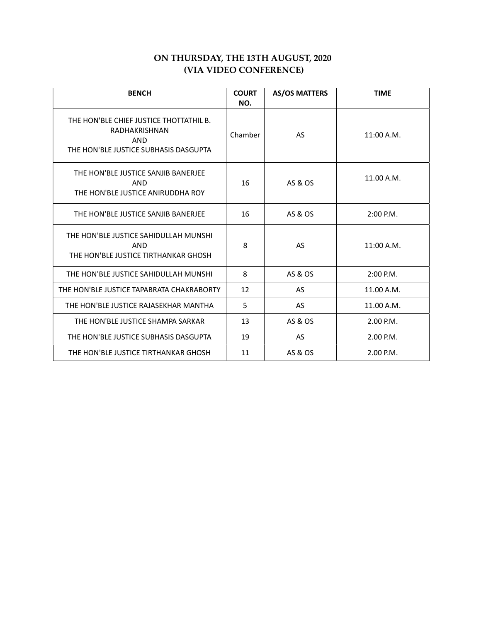# ON THURSDAY, THE 13TH AUGUST, 2020 (VIA VIDEO CONFERENCE)

| <b>BENCH</b>                                                                                                    | <b>COURT</b><br>NO. | <b>AS/OS MATTERS</b> | <b>TIME</b> |
|-----------------------------------------------------------------------------------------------------------------|---------------------|----------------------|-------------|
| THE HON'BLE CHIEF JUSTICE THOTTATHIL B.<br>RADHAKRISHNAN<br><b>AND</b><br>THE HON'BLE JUSTICE SUBHASIS DASGUPTA | Chamber             | AS                   | 11:00 A.M.  |
| THE HON'BLE JUSTICE SANJIB BANERJEE<br>AND<br>THE HON'BLE JUSTICE ANIRUDDHA ROY                                 | 16                  | AS & OS              | 11.00 A.M.  |
| THE HON'BLE JUSTICE SANJIB BANERJEE                                                                             | 16                  | AS & OS              | $2:00$ P.M. |
| THE HON'BLE JUSTICE SAHIDULLAH MUNSHI<br>AND<br>THE HON'BLE JUSTICE TIRTHANKAR GHOSH                            | 8                   | AS                   | 11:00 A.M.  |
| THE HON'BLE JUSTICE SAHIDULLAH MUNSHI                                                                           | 8                   | AS & OS              | $2:00$ P.M. |
| THE HON'BLE JUSTICE TAPABRATA CHAKRABORTY                                                                       | 12                  | <b>AS</b>            | 11.00 A.M.  |
| THE HON'BLE JUSTICE RAJASEKHAR MANTHA                                                                           | 5                   | <b>AS</b>            | 11.00 A.M.  |
| THE HON'BLE JUSTICE SHAMPA SARKAR                                                                               | 13                  | AS & OS              | 2.00 P.M.   |
| THE HON'BLE JUSTICE SUBHASIS DASGUPTA                                                                           | 19                  | <b>AS</b>            | 2.00 P.M.   |
| THE HON'BLE JUSTICE TIRTHANKAR GHOSH                                                                            | 11                  | AS & OS              | 2.00 P.M.   |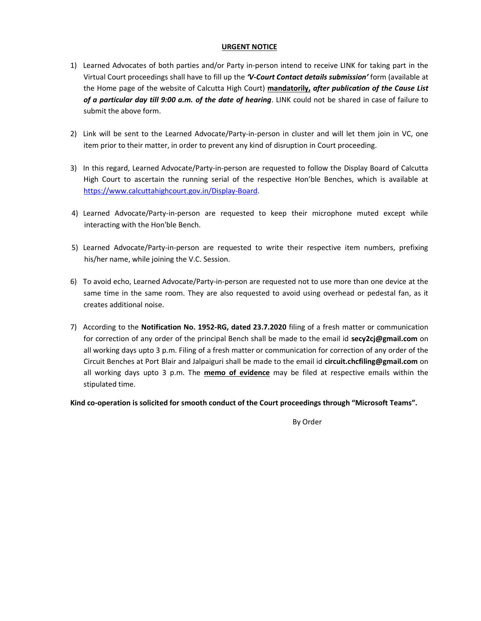### URGENT NOTICE

- 1) Learned Advocates of both parties and/or Party in-person intend to receive LINK for taking part in the Virtual Court proceedings shall have to fill up the 'V-Court Contact details submission' form (available at the Home page of the website of Calcutta High Court) mandatorily, after publication of the Cause List of a particular day till 9:00 a.m. of the date of hearing. LINK could not be shared in case of failure to submit the above form.
- 2) Link will be sent to the Learned Advocate/Party-in-person in cluster and will let them join in VC, one item prior to their matter, in order to prevent any kind of disruption in Court proceeding.
- 3) In this regard, Learned Advocate/Party-in-person are requested to follow the Display Board of Calcutta High Court to ascertain the running serial of the respective Hon'ble Benches, which is available at https://www.calcuttahighcourt.gov.in/Display-Board.
- 4) Learned Advocate/Party-in-person are requested to keep their microphone muted except while interacting with the Hon'ble Bench.
- 5) Learned Advocate/Party-in-person are requested to write their respective item numbers, prefixing his/her name, while joining the V.C. Session.
- 6) To avoid echo, Learned Advocate/Party-in-person are requested not to use more than one device at the same time in the same room. They are also requested to avoid using overhead or pedestal fan, as it creates additional noise.
- 7) According to the Notification No. 1952-RG, dated 23.7.2020 filing of a fresh matter or communication for correction of any order of the principal Bench shall be made to the email id secy2cj@gmail.com on all working days upto 3 p.m. Filing of a fresh matter or communication for correction of any order of the Circuit Benches at Port Blair and Jalpaiguri shall be made to the email id circuit.chcfiling@gmail.com on all working days upto  $3$  p.m. The memo of evidence may be filed at respective emails within the stipulated time.

Kind co-operation is solicited for smooth conduct of the Court proceedings through "Microsoft Teams".

By Order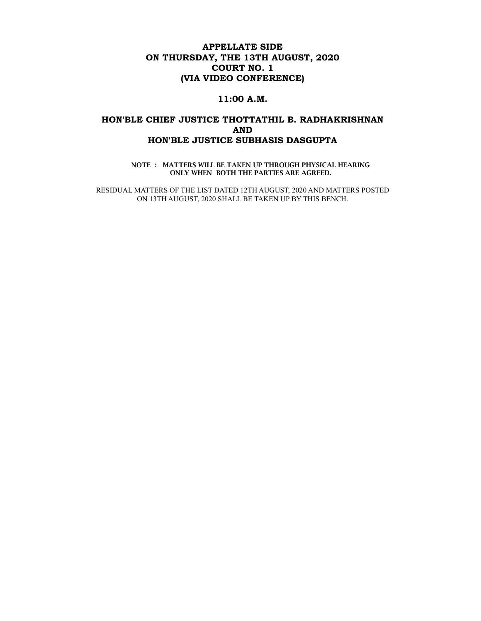## APPELLATE SIDE ON THURSDAY, THE 13TH AUGUST, 2020 COURT NO. 1 (VIA VIDEO CONFERENCE)

### 11:00 A.M.

## HON'BLE CHIEF JUSTICE THOTTATHIL B. RADHAKRISHNAN AND HON'BLE JUSTICE SUBHASIS DASGUPTA

NOTE : MATTERS WILL BE TAKEN UP THROUGH PHYSICAL HEARING ONLY WHEN BOTH THE PARTIES ARE AGREED.

RESIDUAL MATTERS OF THE LIST DATED 12TH AUGUST, 2020 AND MATTERS POSTED ON 13TH AUGUST, 2020 SHALL BE TAKEN UP BY THIS BENCH.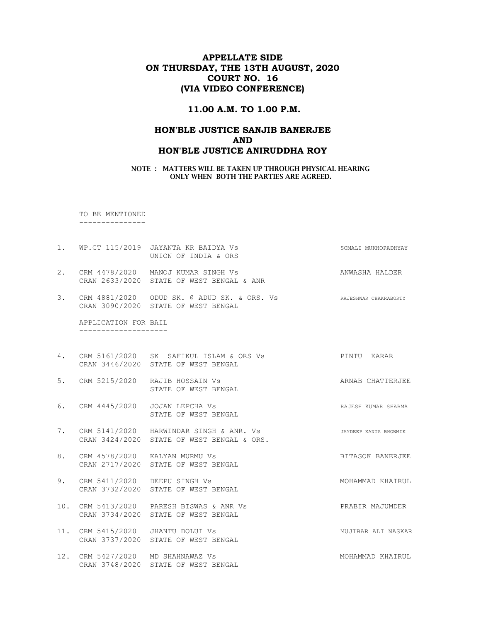## APPELLATE SIDE ON THURSDAY, THE 13TH AUGUST, 2020 COURT NO. 16 (VIA VIDEO CONFERENCE)

## 11.00 A.M. TO 1.00 P.M.

## HON'BLE JUSTICE SANJIB BANERJEE AND HON'BLE JUSTICE ANIRUDDHA ROY

NOTE : MATTERS WILL BE TAKEN UP THROUGH PHYSICAL HEARING ONLY WHEN BOTH THE PARTIES ARE AGREED.

 TO BE MENTIONED ---------------

1. WP.CT 115/2019 JAYANTA KR BAIDYA Vs SOMALI MUKHOPADHYAY UNION OF INDIA & ORS 2. CRM 4478/2020 MANOJ KUMAR SINGH Vs ANWASHA HALDER CRAN 2633/2020 STATE OF WEST BENGAL & ANR 3. CRM 4881/2020 ODUD SK. @ ADUD SK. & ORS. Vs RAJESHWAR CHAKRABORTY CRAN 3090/2020 STATE OF WEST BENGAL APPLICATION FOR BAIL -------------------- 4. CRM 5161/2020 SK SAFIKUL ISLAM & ORS Vs PINTU KARAR CRAN 3446/2020 STATE OF WEST BENGAL 5. CRM 5215/2020 RAJIB HOSSAIN Vs ARNAB CHATTERJEE STATE OF WEST BENGAL 6. CRM 4445/2020 JOJAN LEPCHA Vs **RAJESH KUMAR SHARMA**  STATE OF WEST BENGAL 7. CRM 5141/2020 HARWINDAR SINGH & ANR. Vs **JAYDEEP KANTA BHOWMIK**  CRAN 3424/2020 STATE OF WEST BENGAL & ORS. 8. CRM 4578/2020 KALYAN MURMU Vs **BITASOK BANERJEE**  CRAN 2717/2020 STATE OF WEST BENGAL 9. CRM 5411/2020 DEEPU SINGH Vs Sand Control of MOHAMMAD KHAIRUL CRAN 3732/2020 STATE OF WEST BENGAL 10. CRM 5413/2020 PARESH BISWAS & ANR Vs PRABIR MAJUMDER CRAN 3734/2020 STATE OF WEST BENGAL 11. CRM 5415/2020 JHANTU DOLUI VS MUJIBAR ALI NASKAR CRAN 3737/2020 STATE OF WEST BENGAL 12. CRM 5427/2020 MD SHAHNAWAZ Vs MOHAMMAD KHAIRUL CRAN 3748/2020 STATE OF WEST BENGAL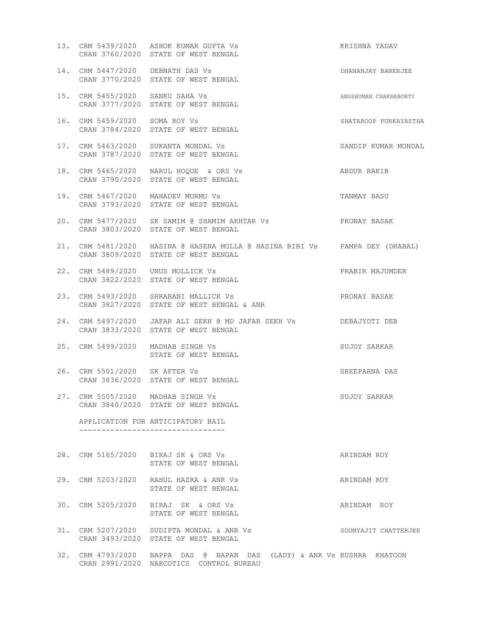|     |                                   | 13. CRM 5439/2020 ASHOK KUMAR GUPTA Vs<br>CRAN 3760/2020 STATE OF WEST BENGAL                                               | KRISHNA YADAV         |
|-----|-----------------------------------|-----------------------------------------------------------------------------------------------------------------------------|-----------------------|
|     | 14. CRM 5447/2020 DEBNATH DAS Vs  | CRAN 3770/2020 STATE OF WEST BENGAL                                                                                         | DHANANJAY BANERJEE    |
|     | 15. CRM 5455/2020 SANKU SAHA Vs   | CRAN 3777/2020 STATE OF WEST BENGAL                                                                                         | ANGSHUMAN CHAKRABORTY |
|     | 16. CRM 5459/2020 SOMA ROY Vs     | CRAN 3784/2020 STATE OF WEST BENGAL                                                                                         | SHATAROOP PURKAYASTHA |
|     |                                   | 17. CRM 5463/2020 SUKANTA MONDAL Vs<br>CRAN 3787/2020 STATE OF WEST BENGAL                                                  | SANDIP KUMAR MONDAL   |
|     |                                   | 18. CRM 5465/2020 NARUL HOQUE & ORS Vs<br>CRAN 3790/2020 STATE OF WEST BENGAL                                               | ABDUR RAKIB           |
|     |                                   | 19. CRM 5467/2020 MAHADEV MURMU Vs<br>CRAN 3793/2020 STATE OF WEST BENGAL                                                   | TANMAY BASU           |
|     |                                   | 20. CRM 5477/2020 SK SAMIM @ SHAMIM AKHTAR Vs<br>CRAN 3803/2020 STATE OF WEST BENGAL                                        | PRONAY BASAK          |
|     |                                   | 21. CRM 5481/2020 HASINA @ HASENA MOLLA @ HASINA BIBI Vs PAMPA DEY (DHABAL)<br>CRAN 3809/2020 STATE OF WEST BENGAL          |                       |
|     |                                   | 22. CRM 5489/2020 UNUS MOLLICK Vs<br>CRAN 3822/2020 STATE OF WEST BENGAL                                                    | PRABIR MAJUMDER       |
|     |                                   | 23. CRM 5493/2020 SHRABANI MALLICK Vs<br>CRAN 3827/2020 STATE OF WEST BENGAL & ANR                                          | PRONAY BASAK          |
| 24. |                                   | CRM 5497/2020 JAFAR ALI SEKH @ MD JAFAR SEKH Vs                        DEBAJYOTI DEB<br>CRAN 3833/2020 STATE OF WEST BENGAL |                       |
|     |                                   | 25. CRM 5499/2020 MADHAB SINGH Vs<br>STATE OF WEST BENGAL                                                                   | SUJOY SARKAR          |
|     | 26. CRM 5501/2020 SK AFTER Vs     | CRAN 3836/2020 STATE OF WEST BENGAL                                                                                         | SREEPARNA DAS         |
|     | 27. CRM 5505/2020 MADHAB SINGH Vs | CRAN 3840/2020 STATE OF WEST BENGAL                                                                                         | SUJOY SARKAR          |
|     |                                   | APPLICATION FOR ANTICIPATORY BAIL                                                                                           |                       |
|     |                                   | 28. CRM 5165/2020 BIRAJ SK & ORS Vs<br>STATE OF WEST BENGAL                                                                 | ARINDAM ROY           |
|     |                                   | 29. CRM 5203/2020 RAHUL HAZRA & ANR Vs<br>STATE OF WEST BENGAL                                                              | ARINDAM ROY           |
|     |                                   | 30. CRM 5205/2020 BIRAJ SK & ORS Vs<br>STATE OF WEST BENGAL                                                                 | ARINDAM ROY           |
|     |                                   | 31. CRM 5207/2020 SUDIPTA MONDAL & ANR Vs<br>CRAN 3493/2020 STATE OF WEST BENGAL                                            | SOUMYAJIT CHATTERJEE  |
|     |                                   | 32. CRM 4793/2020 BAPPA DAS @ BAPAN DAS (LADY) & ANR Vs BUSHRA KHATOON<br>CRAN 2991/2020 NARCOTICS CONTROL BUREAU           |                       |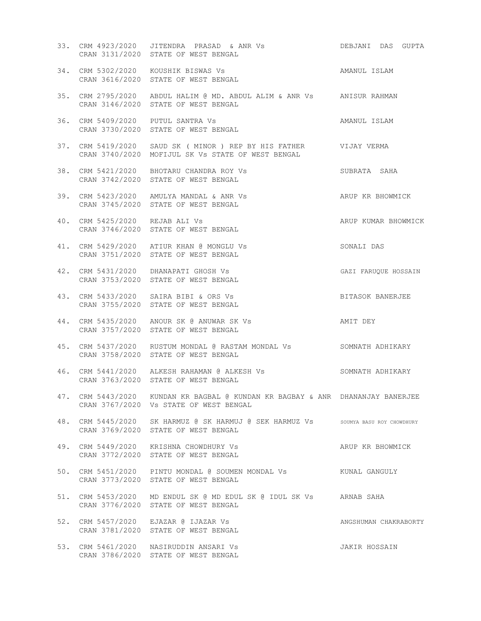|     |                                | CRAN 3131/2020 STATE OF WEST BENGAL                                                                                      |                       |
|-----|--------------------------------|--------------------------------------------------------------------------------------------------------------------------|-----------------------|
|     |                                | AMANUL ISLAM<br>34. CRM 5302/2020 KOUSHIK BISWAS Vs<br>CRAN 3616/2020 STATE OF WEST BENGAL                               |                       |
|     |                                | 35. CRM 2795/2020 ABDUL HALIM @ MD. ABDUL ALIM & ANR Vs ANISUR RAHMAN<br>CRAN 3146/2020 STATE OF WEST BENGAL             |                       |
|     |                                | 36. CRM 5409/2020 PUTUL SANTRA Vs<br>CRAN 3730/2020 STATE OF WEST BENGAL                                                 | AMANUL ISLAM          |
|     |                                | 37. CRM 5419/2020 SAUD SK ( MINOR ) REP BY HIS FATHER VIJAY VERMA<br>CRAN 3740/2020 MOFIJUL SK Vs STATE OF WEST BENGAL   |                       |
|     |                                | 38. CRM 5421/2020 BHOTARU CHANDRA ROY Vs<br>SUBRATA SAHA<br>CRAN 3742/2020 STATE OF WEST BENGAL                          |                       |
|     |                                | ARUP KR BHOWMICK<br>39. CRM 5423/2020 AMULYA MANDAL & ANR Vs<br>CRAN 3745/2020 STATE OF WEST BENGAL                      |                       |
|     | 40. CRM 5425/2020 REJAB ALI Vs | CRAN 3746/2020 STATE OF WEST BENGAL                                                                                      | ARUP KUMAR BHOWMICK   |
|     |                                | 41. CRM 5429/2020 ATIUR KHAN @ MONGLU Vs<br>CRAN 3751/2020 STATE OF WEST BENGAL                                          | SONALI DAS            |
|     |                                | 42. CRM 5431/2020 DHANAPATI GHOSH Vs<br>CRAN 3753/2020 STATE OF WEST BENGAL                                              | GAZI FARUQUE HOSSAIN  |
|     |                                | 43. CRM 5433/2020 SAIRA BIBI & ORS Vs<br>CRAN 3755/2020 STATE OF WEST BENGAL                                             | BITASOK BANERJEE      |
|     |                                | 44. CRM 5435/2020 ANOUR SK @ ANUWAR SK Vs               AMIT DEY<br>CRAN 3757/2020 STATE OF WEST BENGAL                  |                       |
|     |                                | 45. CRM 5437/2020 RUSTUM MONDAL @ RASTAM MONDAL Vs SOMNATH ADHIKARY<br>CRAN 3758/2020 STATE OF WEST BENGAL               |                       |
|     |                                | 46. CRM 5441/2020 ALKESH RAHAMAN @ ALKESH Vs SOMNATH ADHIKARY<br>CRAN 3763/2020 STATE OF WEST BENGAL                     |                       |
|     |                                | 47. CRM 5443/2020 KUNDAN KR BAGBAL @ KUNDAN KR BAGBAY & ANR DHANANJAY BANERJEE<br>CRAN 3767/2020 Vs STATE OF WEST BENGAL |                       |
|     |                                | 48. CRM 5445/2020 SK HARMUZ @ SK HARMUJ @ SEK HARMUZ Vs sOUMYA BASU ROY CHOWDHURY<br>CRAN 3769/2020 STATE OF WEST BENGAL |                       |
|     |                                | 49. CRM 5449/2020 KRISHNA CHOWDHURY Vs<br>CRAN 3772/2020 STATE OF WEST BENGAL                                            | ARUP KR BHOWMICK      |
|     |                                | 50. CRM 5451/2020 PINTU MONDAL @ SOUMEN MONDAL Vs KUNAL GANGULY<br>CRAN 3773/2020 STATE OF WEST BENGAL                   |                       |
| 51. |                                | CRM 5453/2020 MD ENDUL SK @ MD EDUL SK @ IDUL SK Vs ARNAB SAHA<br>CRAN 3776/2020 STATE OF WEST BENGAL                    |                       |
|     |                                | 52. CRM 5457/2020 EJAZAR @ IJAZAR Vs<br>CRAN 3781/2020 STATE OF WEST BENGAL                                              | ANGSHUMAN CHAKRABORTY |
|     |                                | 53. CRM 5461/2020 NASIRUDDIN ANSARI Vs<br>CRAN 3786/2020 STATE OF WEST BENGAL                                            | JAKIR HOSSAIN         |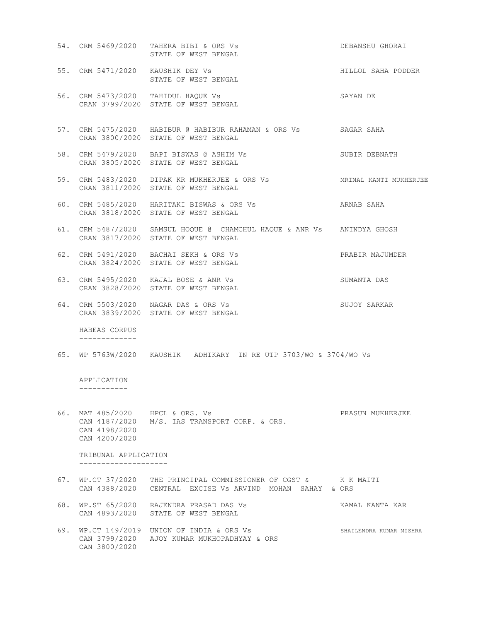|                                                                   | 54. CRM 5469/2020 TAHERA BIBI & ORS Vs<br>STATE OF WEST BENGAL                                                               | DEBANSHU GHORAI         |
|-------------------------------------------------------------------|------------------------------------------------------------------------------------------------------------------------------|-------------------------|
|                                                                   | 55. CRM 5471/2020 KAUSHIK DEY Vs<br>STATE OF WEST BENGAL                                                                     | HILLOL SAHA PODDER      |
|                                                                   | 56. CRM 5473/2020 TAHIDUL HAQUE Vs<br>CRAN 3799/2020 STATE OF WEST BENGAL                                                    | SAYAN DE                |
|                                                                   | 57. CRM 5475/2020 HABIBUR @ HABIBUR RAHAMAN & ORS Vs SAGAR SAHA<br>CRAN 3800/2020 STATE OF WEST BENGAL                       |                         |
|                                                                   | 58. CRM 5479/2020 BAPI BISWAS @ ASHIM Vs<br>CRAN 3805/2020 STATE OF WEST BENGAL                                              | SUBIR DEBNATH           |
|                                                                   | 59. CRM 5483/2020 DIPAK KR MUKHERJEE & ORS Vs MRINAL KANTI MUKHERJEE<br>CRAN 3811/2020 STATE OF WEST BENGAL                  |                         |
|                                                                   | 60. CRM 5485/2020 HARITAKI BISWAS & ORS Vs<br>CRAN 3818/2020 STATE OF WEST BENGAL                                            | ARNAB SAHA              |
|                                                                   | 61. CRM 5487/2020 SAMSUL HOQUE @ CHAMCHUL HAQUE & ANR Vs ANINDYA GHOSH<br>CRAN 3817/2020 STATE OF WEST BENGAL                |                         |
|                                                                   | 62. CRM 5491/2020 BACHAI SEKH & ORS Vs<br>CRAN 3824/2020 STATE OF WEST BENGAL                                                | PRABIR MAJUMDER         |
|                                                                   | 63. CRM 5495/2020 KAJAL BOSE & ANR Vs<br>CRAN 3828/2020 STATE OF WEST BENGAL                                                 | SUMANTA DAS             |
|                                                                   | 64. CRM 5503/2020 NAGAR DAS & ORS Vs<br>CRAN 3839/2020 STATE OF WEST BENGAL                                                  | SUJOY SARKAR            |
| HABEAS CORPUS<br>-------------                                    |                                                                                                                              |                         |
|                                                                   | 65. WP 5763W/2020 KAUSHIK ADHIKARY IN RE UTP 3703/WO & 3704/WO Vs                                                            |                         |
| APPLICATION<br>-----------                                        |                                                                                                                              |                         |
| 66. MAT 485/2020 HPCL & ORS. Vs<br>CAN 4198/2020<br>CAN 4200/2020 | CAN 4187/2020 M/S. IAS TRANSPORT CORP. & ORS.                                                                                | PRASUN MUKHERJEE        |
| TRIBUNAL APPLICATION                                              |                                                                                                                              |                         |
|                                                                   | 67. WP.CT 37/2020 THE PRINCIPAL COMMISSIONER OF CGST & K K MAITI<br>CAN 4388/2020 CENTRAL EXCISE Vs ARVIND MOHAN SAHAY & ORS |                         |
|                                                                   | 68. WP.ST 65/2020 RAJENDRA PRASAD DAS Vs<br>CAN 4893/2020 STATE OF WEST BENGAL                                               | KAMAL KANTA KAR         |
| CAN 3800/2020                                                     | 69. WP.CT 149/2019 UNION OF INDIA & ORS Vs<br>CAN 3799/2020 AJOY KUMAR MUKHOPADHYAY & ORS                                    | SHAILENDRA KUMAR MISHRA |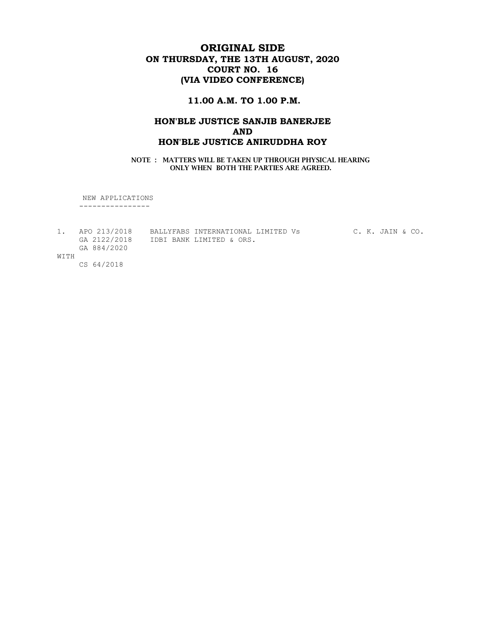# ORIGINAL SIDE ON THURSDAY, THE 13TH AUGUST, 2020 COURT NO. 16 (VIA VIDEO CONFERENCE)

## 11.00 A.M. TO 1.00 P.M.

## HON'BLE JUSTICE SANJIB BANERJEE AND HON'BLE JUSTICE ANIRUDDHA ROY

NOTE : MATTERS WILL BE TAKEN UP THROUGH PHYSICAL HEARING ONLY WHEN BOTH THE PARTIES ARE AGREED.

NEW APPLICATIONS

----------------

|      | 1. APO 213/2018 | BALLYFABS INTERNATIONAL LIMITED Vs | C. K. JAIN & CO. |
|------|-----------------|------------------------------------|------------------|
|      | GA 2122/2018    | IDBI BANK LIMITED & ORS.           |                  |
|      | GA 884/2020     |                                    |                  |
| WITH |                 |                                    |                  |

CS 64/2018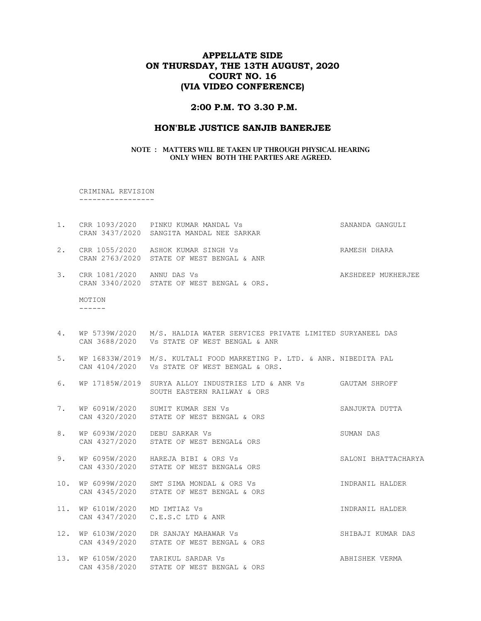## APPELLATE SIDE ON THURSDAY, THE 13TH AUGUST, 2020 COURT NO. 16 (VIA VIDEO CONFERENCE)

### 2:00 P.M. TO 3.30 P.M.

#### HON'BLE JUSTICE SANJIB BANERJEE

#### NOTE : MATTERS WILL BE TAKEN UP THROUGH PHYSICAL HEARING ONLY WHEN BOTH THE PARTIES ARE AGREED.

 CRIMINAL REVISION -----------------

- 1. CRR 1093/2020 PINKU KUMAR MANDAL Vs SANANDA GANGULI CRAN 3437/2020 SANGITA MANDAL NEE SARKAR 2. CRR 1055/2020 ASHOK KUMAR SINGH Vs CHARA RAMESH DHARA CRAN 2763/2020 STATE OF WEST BENGAL & ANR
- 3. CRR 1081/2020 ANNU DAS Vs AKSHDEEP MUKHERJEE CRAN 3340/2020 STATE OF WEST BENGAL & ORS.

 MOTION ------

- 4. WP 5739W/2020 M/S. HALDIA WATER SERVICES PRIVATE LIMITED SURYANEEL DAS CAN 3688/2020 Vs STATE OF WEST BENGAL & ANR
- 5. WP 16833W/2019 M/S. KULTALI FOOD MARKETING P. LTD. & ANR. NIBEDITA PAL CAN 4104/2020 Vs STATE OF WEST BENGAL & ORS.
- 6. WP 17185W/2019 SURYA ALLOY INDUSTRIES LTD & ANR Vs GAUTAM SHROFF SOUTH EASTERN RAILWAY & ORS
- 7. WP 6091W/2020 SUMIT KUMAR SEN Vs SANJUKTA DUTTA CAN 4320/2020 STATE OF WEST BENGAL & ORS
- 8. WP 6093W/2020 DEBU SARKAR Vs SUMAN DAS CAN 4327/2020 STATE OF WEST BENGAL& ORS
- 9. WP 6095W/2020 HAREJA BIBI & ORS Vs SALONI BHATTACHARYA CAN 4330/2020 STATE OF WEST BENGAL& ORS
- 10. WP 6099W/2020 SMT SIMA MONDAL & ORS Vs INDRANIL HALDER CAN 4345/2020 STATE OF WEST BENGAL & ORS
- 11. WP 6101W/2020 MD IMTIAZ Vs INDRANIL HALDER CAN 4347/2020 C.E.S.C LTD & ANR
- 12. WP 6103W/2020 DR SANJAY MAHAWAR Vs SHIBAJI KUMAR DAS CAN 4349/2020 STATE OF WEST BENGAL & ORS
- 13. WP 6105W/2020 TARIKUL SARDAR Vs ABHISHEK VERMA CAN 4358/2020 STATE OF WEST BENGAL & ORS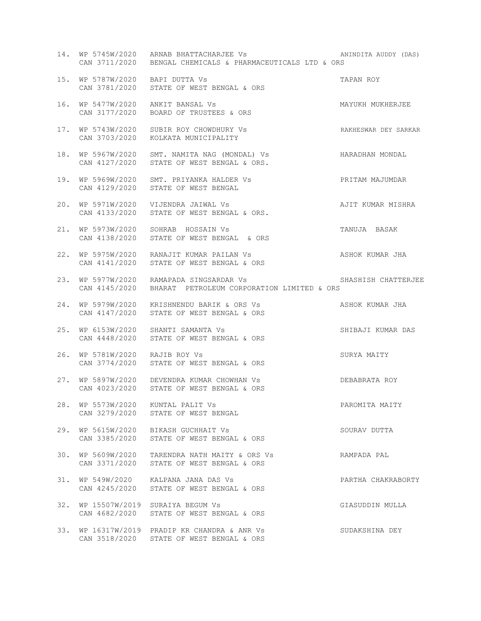|     |                                                    | 14. WP 5745W/2020 ARNAB BHATTACHARJEE Vs<br>CAN 3711/2020 BENGAL CHEMICALS & PHARMACEUTICALS LTD & ORS | ANINDITA AUDDY (DAS) |
|-----|----------------------------------------------------|--------------------------------------------------------------------------------------------------------|----------------------|
|     | 15. WP 5787W/2020 BAPI DUTTA Vs                    | CAN 3781/2020 STATE OF WEST BENGAL & ORS                                                               | TAPAN ROY            |
|     | 16. WP 5477W/2020 ANKIT BANSAL Vs<br>CAN 3177/2020 | BOARD OF TRUSTEES & ORS                                                                                | MAYUKH MUKHERJEE     |
|     |                                                    | 17. WP 5743W/2020 SUBIR ROY CHOWDHURY Vs<br>CAN 3703/2020 KOLKATA MUNICIPALITY                         | RAKHESWAR DEY SARKAR |
|     | CAN 4127/2020                                      | 18. WP 5967W/2020 SMT. NAMITA NAG (MONDAL) Vs HARADHAN MONDAL<br>STATE OF WEST BENGAL & ORS.           |                      |
|     | CAN 4129/2020                                      | 19. WP 5969W/2020 SMT. PRIYANKA HALDER Vs<br>STATE OF WEST BENGAL                                      | PRITAM MAJUMDAR      |
|     | CAN 4133/2020                                      | 20. WP 5971W/2020 VIJENDRA JAIWAL Vs<br>STATE OF WEST BENGAL & ORS.                                    | AJIT KUMAR MISHRA    |
|     | CAN 4138/2020                                      | 21. WP 5973W/2020 SOHRAB HOSSAIN Vs<br>STATE OF WEST BENGAL & ORS                                      | TANUJA BASAK         |
|     | CAN 4141/2020                                      | 22. WP 5975W/2020 RANAJIT KUMAR PAILAN Vs<br>STATE OF WEST BENGAL & ORS                                | ASHOK KUMAR JHA      |
|     |                                                    | 23. WP 5977W/2020 RAMAPADA SINGSARDAR Vs<br>CAN 4145/2020 BHARAT PETROLEUM CORPORATION LIMITED & ORS   | SHASHISH CHATTERJEE  |
|     |                                                    | 24. WP 5979W/2020 KRISHNENDU BARIK & ORS Vs<br>CAN 4147/2020 STATE OF WEST BENGAL & ORS                | ASHOK KUMAR JHA      |
| 25. | WP 6153W/2020<br>CAN 4448/2020                     | SHANTI SAMANTA Vs<br>STATE OF WEST BENGAL & ORS                                                        | SHIBAJI KUMAR DAS    |
| 26. | WP 5781W/2020 RAJIB ROY Vs                         | CAN 3774/2020 STATE OF WEST BENGAL & ORS                                                               | SURYA MAITY          |
|     |                                                    | 27. WP 5897W/2020 DEVENDRA KUMAR CHOWHAN Vs<br>CAN 4023/2020 STATE OF WEST BENGAL & ORS                | DEBABRATA ROY        |
| 28. | CAN 3279/2020                                      | WP 5573W/2020 KUNTAL PALIT Vs<br>STATE OF WEST BENGAL                                                  | PAROMITA MAITY       |
|     |                                                    | 29. WP 5615W/2020 BIKASH GUCHHAIT Vs<br>CAN 3385/2020 STATE OF WEST BENGAL & ORS                       | SOURAV DUTTA         |
|     |                                                    | 30. WP 5609W/2020 TARENDRA NATH MAITY & ORS Vs<br>CAN 3371/2020 STATE OF WEST BENGAL & ORS             | RAMPADA PAL          |
|     | CAN 4245/2020                                      | 31. WP 549W/2020 KALPANA JANA DAS Vs<br>STATE OF WEST BENGAL & ORS                                     | PARTHA CHAKRABORTY   |
|     |                                                    | 32. WP 15507W/2019 SURAIYA BEGUM Vs<br>CAN 4682/2020 STATE OF WEST BENGAL & ORS                        | GIASUDDIN MULLA      |
|     |                                                    | 33. WP 16317W/2019 PRADIP KR CHANDRA & ANR Vs                                                          | SUDAKSHINA DEY       |

CAN 3518/2020 STATE OF WEST BENGAL & ORS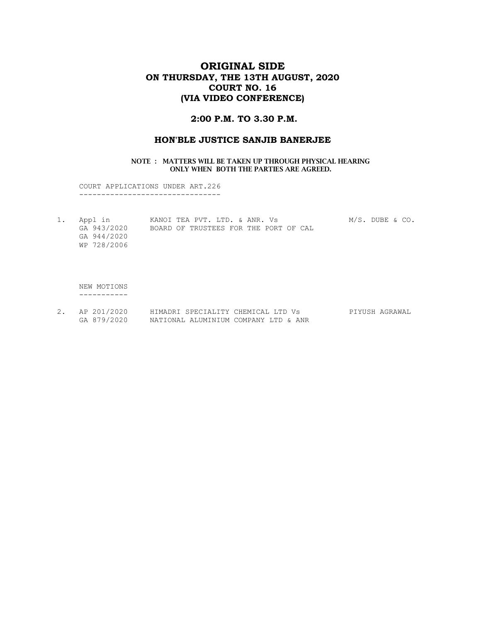## ORIGINAL SIDE ON THURSDAY, THE 13TH AUGUST, 2020 COURT NO. 16 (VIA VIDEO CONFERENCE)

### 2:00 P.M. TO 3.30 P.M.

### HON'BLE JUSTICE SANJIB BANERJEE

#### NOTE : MATTERS WILL BE TAKEN UP THROUGH PHYSICAL HEARING ONLY WHEN BOTH THE PARTIES ARE AGREED.

 COURT APPLICATIONS UNDER ART.226 --------------------------------

1. Appl in KANOI TEA PVT. LTD. & ANR. Vs M/S. DUBE & CO. GA 943/2020 BOARD OF TRUSTEES FOR THE PORT OF CAL GA 944/2020 WP 728/2006

 NEW MOTIONS -----------

2. AP 201/2020 HIMADRI SPECIALITY CHEMICAL LTD Vs PIYUSH AGRAWAL GA 879/2020 NATIONAL ALUMINIUM COMPANY LTD & ANR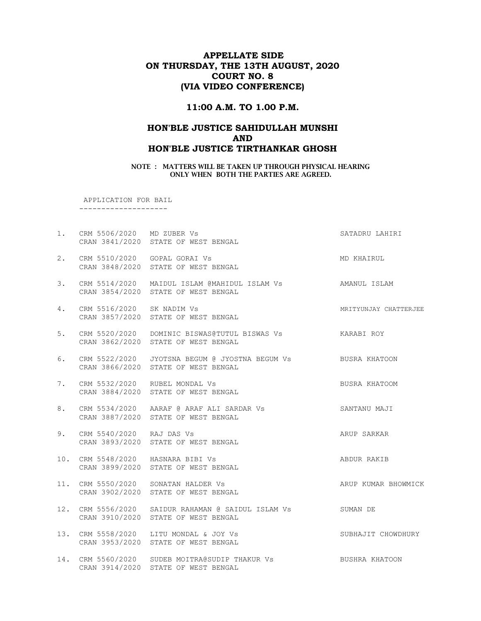## APPELLATE SIDE ON THURSDAY, THE 13TH AUGUST, 2020 COURT NO. 8 (VIA VIDEO CONFERENCE)

## 11:00 A.M. TO 1.00 P.M.

# HON'BLE JUSTICE SAHIDULLAH MUNSHI AND HON'BLE JUSTICE TIRTHANKAR GHOSH

NOTE : MATTERS WILL BE TAKEN UP THROUGH PHYSICAL HEARING ONLY WHEN BOTH THE PARTIES ARE AGREED.

APPLICATION FOR BAIL

--------------------

| 1.  | CRM 5506/2020 MD ZUBER Vs | CRAN 3841/2020 STATE OF WEST BENGAL                                                                 | SATADRU LAHIRI        |
|-----|---------------------------|-----------------------------------------------------------------------------------------------------|-----------------------|
| 2.  |                           | CRM 5510/2020 GOPAL GORAI Vs<br>CRAN 3848/2020 STATE OF WEST BENGAL                                 | MD KHAIRUL            |
| 3.  |                           | CRM 5514/2020 MAIDUL ISLAM @MAHIDUL ISLAM Vs AMANUL ISLAM<br>CRAN 3854/2020 STATE OF WEST BENGAL    |                       |
| 4.  | CRM 5516/2020 SK NADIM Vs | CRAN 3857/2020 STATE OF WEST BENGAL                                                                 | MRITYUNJAY CHATTERJEE |
| 5.  |                           | CRM 5520/2020 DOMINIC BISWAS@TUTUL BISWAS Vs ARRABI ROY<br>CRAN 3862/2020 STATE OF WEST BENGAL      |                       |
| 6.  |                           | CRM 5522/2020 JYOTSNA BEGUM @ JYOSTNA BEGUM Vs BUSRA KHATOON<br>CRAN 3866/2020 STATE OF WEST BENGAL |                       |
| 7.  |                           | CRM 5532/2020 RUBEL MONDAL Vs<br>CRAN 3884/2020 STATE OF WEST BENGAL                                | BUSRA KHATOOM         |
| 8.  |                           | CRM 5534/2020 AARAF @ ARAF ALI SARDAR Vs<br>CRAN 3887/2020 STATE OF WEST BENGAL                     | SANTANU MAJI          |
| 9.  | CRM 5540/2020 RAJ DAS Vs  | CRAN 3893/2020 STATE OF WEST BENGAL                                                                 | ARUP SARKAR           |
|     |                           | 10. CRM 5548/2020 HASNARA BIBI Vs<br>CRAN 3899/2020 STATE OF WEST BENGAL                            | ABDUR RAKIB           |
|     |                           | 11. CRM 5550/2020 SONATAN HALDER Vs<br>CRAN 3902/2020 STATE OF WEST BENGAL                          | ARUP KUMAR BHOWMICK   |
| 12. |                           | CRM 5556/2020 SAIDUR RAHAMAN @ SAIDUL ISLAM Vs SUMAN DE<br>CRAN 3910/2020 STATE OF WEST BENGAL      |                       |
|     |                           | 13. CRM 5558/2020 LITU MONDAL & JOY Vs<br>CRAN 3953/2020 STATE OF WEST BENGAL                       | SUBHAJIT CHOWDHURY    |
| 14. |                           | CRM 5560/2020 SUDEB MOITRA@SUDIP THAKUR Vs BUSHRA KHATOON<br>CRAN 3914/2020 STATE OF WEST BENGAL    |                       |
|     |                           |                                                                                                     |                       |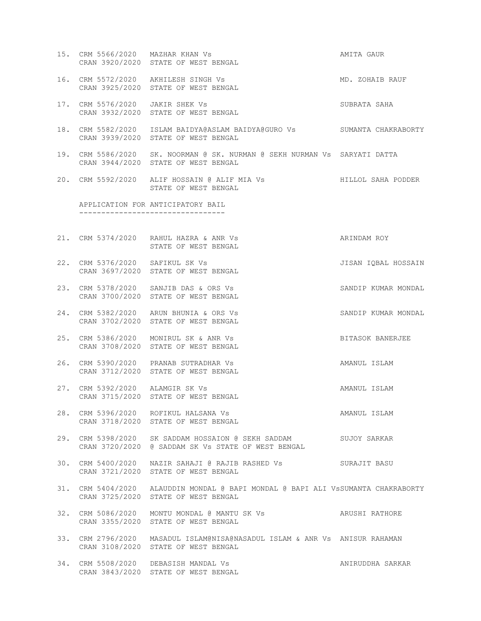| 15. CRM 5566/2020 MAZHAR KHAN Vs | CRAN 3920/2020 STATE OF WEST BENGAL                                                                                     | AMITA GAUR          |
|----------------------------------|-------------------------------------------------------------------------------------------------------------------------|---------------------|
|                                  | 16. CRM 5572/2020 AKHILESH SINGH Vs<br>CRAN 3925/2020 STATE OF WEST BENGAL                                              | MD. ZOHAIB RAUF     |
| 17. CRM 5576/2020 JAKIR SHEK Vs  | CRAN 3932/2020 STATE OF WEST BENGAL                                                                                     | SUBRATA SAHA        |
|                                  | 18. CRM 5582/2020 ISLAM BAIDYA@ASLAM BAIDYA@GURO Vs SUMANTA CHAKRABORTY<br>CRAN 3939/2020 STATE OF WEST BENGAL          |                     |
|                                  | 19. CRM 5586/2020 SK. NOORMAN @ SK. NURMAN @ SEKH NURMAN Vs SARYATI DATTA<br>CRAN 3944/2020 STATE OF WEST BENGAL        |                     |
|                                  | 20. CRM 5592/2020 ALIF HOSSAIN @ ALIF MIA Vs<br>STATE OF WEST BENGAL                                                    | HILLOL SAHA PODDER  |
|                                  | APPLICATION FOR ANTICIPATORY BAIL<br>----------------------------------                                                 |                     |
|                                  |                                                                                                                         |                     |
|                                  | 21. CRM 5374/2020 RAHUL HAZRA & ANR Vs<br>STATE OF WEST BENGAL                                                          | ARINDAM ROY         |
| 22. CRM 5376/2020 SAFIKUL SK Vs  | CRAN 3697/2020 STATE OF WEST BENGAL                                                                                     | JISAN IOBAL HOSSAIN |
|                                  | 23. CRM 5378/2020 SANJIB DAS & ORS Vs<br>CRAN 3700/2020 STATE OF WEST BENGAL                                            | SANDIP KUMAR MONDAL |
|                                  | 24. CRM 5382/2020 ARUN BHUNIA & ORS Vs<br>CRAN 3702/2020 STATE OF WEST BENGAL                                           | SANDIP KUMAR MONDAL |
|                                  | 25. CRM 5386/2020 MONIRUL SK & ANR Vs<br>CRAN 3708/2020 STATE OF WEST BENGAL                                            | BITASOK BANERJEE    |
|                                  | 26. CRM 5390/2020 PRANAB SUTRADHAR Vs<br>CRAN 3712/2020 STATE OF WEST BENGAL                                            | AMANUL ISLAM        |
| 27. CRM 5392/2020 ALAMGIR SK Vs  | CRAN 3715/2020 STATE OF WEST BENGAL                                                                                     | AMANUL ISLAM        |
|                                  | 28. CRM 5396/2020 ROFIKUL HALSANA Vs<br>CRAN 3718/2020 STATE OF WEST BENGAL                                             | AMANUL ISLAM        |
|                                  | 29. CRM 5398/2020 SK SADDAM HOSSAION @ SEKH SADDAM<br>CRAN 3720/2020 @ SADDAM SK Vs STATE OF WEST BENGAL                | SUJOY SARKAR        |
|                                  | 30. CRM 5400/2020  NAZIR SAHAJI @ RAJIB RASHED Vs  SURAJIT BASU<br>CRAN 3721/2020 STATE OF WEST BENGAL                  |                     |
|                                  | 31. CRM 5404/2020 ALAUDDIN MONDAL @ BAPI MONDAL @ BAPI ALI VSSUMANTA CHAKRABORTY<br>CRAN 3725/2020 STATE OF WEST BENGAL |                     |
|                                  | 32. CRM 5086/2020 MONTU MONDAL @ MANTU SK Vs<br>CRAN 3355/2020 STATE OF WEST BENGAL                                     | ARUSHI RATHORE      |
|                                  | 33. CRM 2796/2020 MASADUL ISLAM@NISA@NASADUL ISLAM & ANR Vs ANISUR RAHAMAN<br>CRAN 3108/2020 STATE OF WEST BENGAL       |                     |
|                                  | 34. CRM 5508/2020 DEBASISH MANDAL Vs<br>CRAN 3843/2020 STATE OF WEST BENGAL                                             | ANIRUDDHA SARKAR    |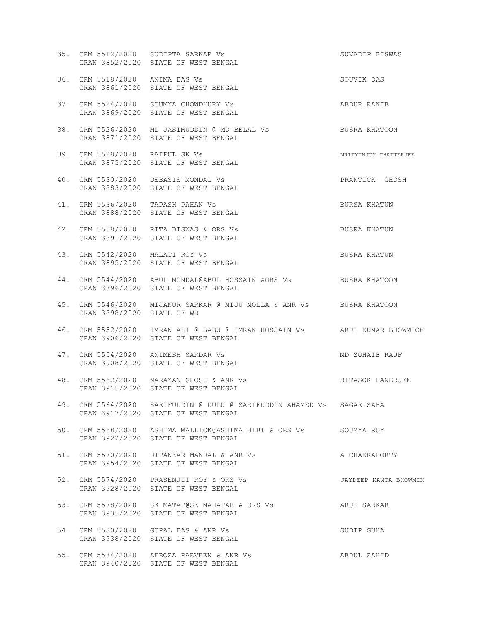|                                | 35. CRM 5512/2020 SUDIPTA SARKAR Vs<br>CRAN 3852/2020 STATE OF WEST BENGAL                                       | SUVADIP BISWAS        |
|--------------------------------|------------------------------------------------------------------------------------------------------------------|-----------------------|
| 36. CRM 5518/2020 ANIMA DAS Vs | CRAN 3861/2020 STATE OF WEST BENGAL                                                                              | SOUVIK DAS            |
|                                | 37. CRM 5524/2020 SOUMYA CHOWDHURY Vs<br>CRAN 3869/2020 STATE OF WEST BENGAL                                     | ABDUR RAKIB           |
|                                | 38. CRM 5526/2020 MD JASIMUDDIN @ MD BELAL Vs BUSRA KHATOON<br>CRAN 3871/2020 STATE OF WEST BENGAL               |                       |
| 39. CRM 5528/2020 RAIFUL SK Vs | CRAN 3875/2020 STATE OF WEST BENGAL                                                                              | MRITYUNJOY CHATTERJEE |
|                                | 40. CRM 5530/2020 DEBASIS MONDAL Vs<br>CRAN 3883/2020 STATE OF WEST BENGAL                                       | PRANTICK GHOSH        |
|                                | 41. CRM 5536/2020 TAPASH PAHAN Vs<br>CRAN 3888/2020 STATE OF WEST BENGAL                                         | BURSA KHATUN          |
|                                | 42. CRM 5538/2020 RITA BISWAS & ORS Vs<br>CRAN 3891/2020 STATE OF WEST BENGAL                                    | BUSRA KHATUN          |
|                                | 43. CRM 5542/2020 MALATI ROY Vs<br>CRAN 3895/2020 STATE OF WEST BENGAL                                           | BUSRA KHATUN          |
|                                | 44. CRM 5544/2020 ABUL MONDAL@ABUL HOSSAIN & ORS Vs BUSRA KHATOON<br>CRAN 3896/2020 STATE OF WEST BENGAL         |                       |
| CRAN 3898/2020 STATE OF WB     | 45. CRM 5546/2020 MIJANUR SARKAR @ MIJU MOLLA & ANR Vs BUSRA KHATOON                                             |                       |
|                                | 46. CRM 5552/2020 IMRAN ALI @ BABU @ IMRAN HOSSAIN Vs ARUP KUMAR BHOWMICK<br>CRAN 3906/2020 STATE OF WEST BENGAL |                       |
|                                | 47. CRM 5554/2020 ANIMESH SARDAR Vs<br>CRAN 3908/2020 STATE OF WEST BENGAL                                       | MD ZOHAIB RAUF        |
|                                | 48. CRM 5562/2020 NARAYAN GHOSH & ANR Vs<br>CRAN 3915/2020 STATE OF WEST BENGAL                                  | BITASOK BANERJEE      |
|                                | 49. CRM 5564/2020 SARIFUDDIN @ DULU @ SARIFUDDIN AHAMED Vs SAGAR SAHA<br>CRAN 3917/2020 STATE OF WEST BENGAL     |                       |
|                                | 50. CRM 5568/2020 ASHIMA MALLICK@ASHIMA BIBI & ORS Vs SOUMYA ROY<br>CRAN 3922/2020 STATE OF WEST BENGAL          |                       |
|                                | 51. CRM 5570/2020 DIPANKAR MANDAL & ANR Vs<br>CRAN 3954/2020 STATE OF WEST BENGAL                                | A CHAKRABORTY         |
|                                | 52. CRM 5574/2020 PRASENJIT ROY & ORS Vs<br>CRAN 3928/2020 STATE OF WEST BENGAL                                  | JAYDEEP KANTA BHOWMIK |
|                                | 53. CRM 5578/2020 SK MATAP@SK MAHATAB & ORS Vs<br>CRAN 3935/2020 STATE OF WEST BENGAL                            | ARUP SARKAR           |
|                                | 54. CRM 5580/2020  GOPAL DAS & ANR Vs<br>CRAN 3938/2020 STATE OF WEST BENGAL                                     | SUDIP GUHA            |
|                                | 55. CRM 5584/2020 AFROZA PARVEEN & ANR Vs<br>CRAN 3940/2020 STATE OF WEST BENGAL                                 | ABDUL ZAHID           |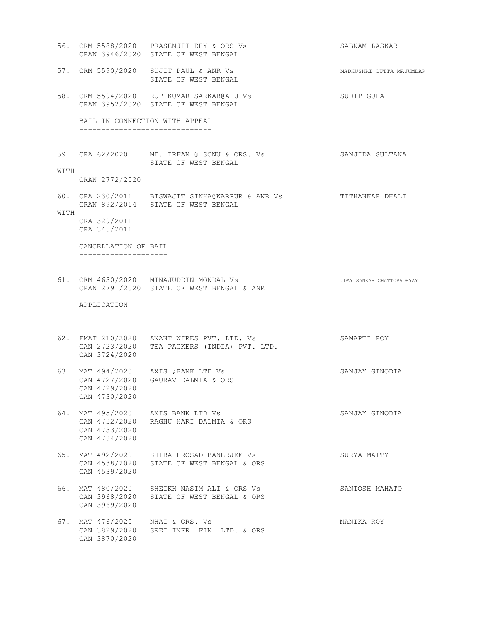56. CRM 5588/2020 PRASENJIT DEY & ORS Vs SABNAM LASKAR CRAN 3946/2020 STATE OF WEST BENGAL 57. CRM 5590/2020 SUJIT PAUL & ANR Vs MADHUSHRI DUTTA MAJUMDAR STATE OF WEST BENGAL 58. CRM 5594/2020 RUP KUMAR SARKAR@APU Vs SUDIP GUHA CRAN 3952/2020 STATE OF WEST BENGAL BAIL IN CONNECTION WITH APPEAL ------------------------------ 59. CRA 62/2020 MD. IRFAN @ SONU & ORS. Vs SANJIDA SULTANA STATE OF WEST BENGAL WITH CRAN 2772/2020 60. CRA 230/2011 BISWAJIT SINHA@KARPUR & ANR Vs TITHANKAR DHALI CRAN 892/2014 STATE OF WEST BENGAL WITH CRA 329/2011 CRA 345/2011 CANCELLATION OF BAIL -------------------- 61. CRM 4630/2020 MINAJUDDIN MONDAL Vs **UDAY SANKAR CHATTOPADHYAY**  CRAN 2791/2020 STATE OF WEST BENGAL & ANR APPLICATION ----------- 62. FMAT 210/2020 ANANT WIRES PVT. LTD. Vs SAMAPTI ROY CAN 2723/2020 TEA PACKERS (INDIA) PVT. LTD. CAN 3724/2020 63. MAT 494/2020 AXIS ;BANK LTD Vs SANJAY GINODIA CAN 4727/2020 GAURAV DALMIA & ORS CAN 4729/2020 CAN 4730/2020 64. MAT 495/2020 AXIS BANK LTD Vs SANJAY GINODIA CAN 4732/2020 RAGHU HARI DALMIA & ORS CAN 4733/2020 CAN 4734/2020 65. MAT 492/2020 SHIBA PROSAD BANERJEE Vs SURYA MAITY CAN 4538/2020 STATE OF WEST BENGAL & ORS CAN 4539/2020 66. MAT 480/2020 SHEIKH NASIM ALI & ORS Vs SANTOSH MAHATO CAN 3968/2020 STATE OF WEST BENGAL & ORS CAN 3969/2020 67. MAT 476/2020 NHAI & ORS. Vs MANIKA ROY CAN 3829/2020 SREI INFR. FIN. LTD. & ORS. CAN 3870/2020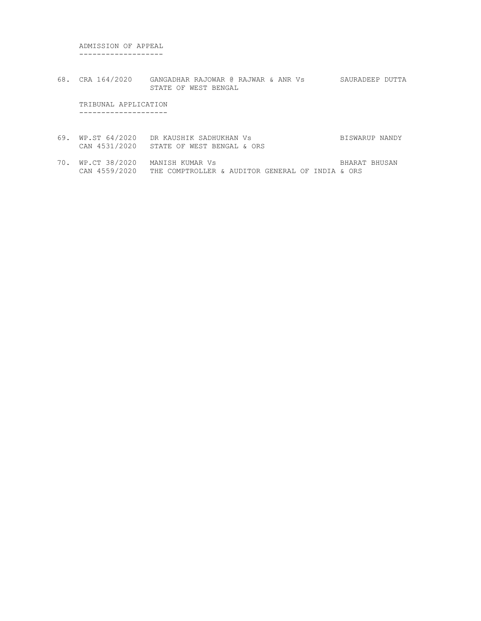ADMISSION OF APPEAL -------------------

68. CRA 164/2020 GANGADHAR RAJOWAR @ RAJWAR & ANR Vs SAURADEEP DUTTA STATE OF WEST BENGAL

 TRIBUNAL APPLICATION --------------------

- 69. WP.ST 64/2020 DR KAUSHIK SADHUKHAN Vs BISWARUP NANDY CAN 4531/2020 STATE OF WEST BENGAL & ORS
- 70. WP.CT 38/2020 MANISH KUMAR Vs BHARAT BHUSAN CAN 4559/2020 THE COMPTROLLER & AUDITOR GENERAL OF INDIA & ORS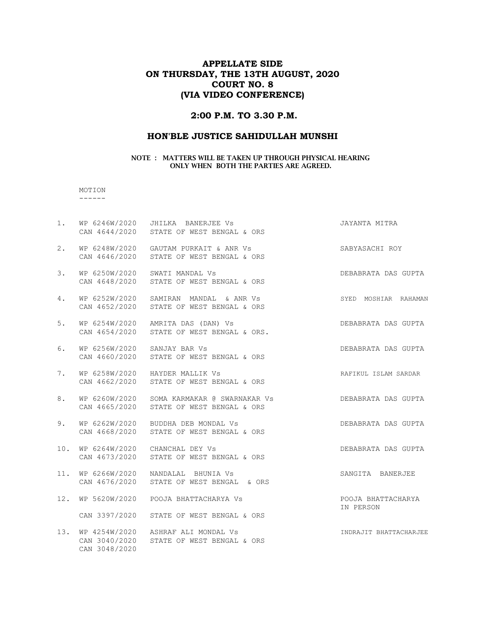## APPELLATE SIDE ON THURSDAY, THE 13TH AUGUST, 2020 COURT NO. 8 (VIA VIDEO CONFERENCE)

## 2:00 P.M. TO 3.30 P.M.

### HON'BLE JUSTICE SAHIDULLAH MUNSHI

#### NOTE : MATTERS WILL BE TAKEN UP THROUGH PHYSICAL HEARING ONLY WHEN BOTH THE PARTIES ARE AGREED.

#### MOTION ------

| 1.  |                                | WP 6246W/2020 JHILKA BANERJEE Vs<br>CAN 4644/2020 STATE OF WEST BENGAL & ORS           | JAYANTA MITRA                   |
|-----|--------------------------------|----------------------------------------------------------------------------------------|---------------------------------|
| 2.  |                                | WP 6248W/2020 GAUTAM PURKAIT & ANR Vs<br>CAN 4646/2020 STATE OF WEST BENGAL & ORS      | SABYASACHI ROY                  |
| 3.  |                                | WP 6250W/2020 SWATI MANDAL Vs<br>CAN 4648/2020 STATE OF WEST BENGAL & ORS              | DEBABRATA DAS GUPTA             |
| 4.  |                                | WP 6252W/2020 SAMIRAN MANDAL & ANR Vs<br>CAN 4652/2020 STATE OF WEST BENGAL & ORS      | SYED MOSHIAR RAHAMAN            |
| 5.  |                                | WP 6254W/2020 AMRITA DAS (DAN) Vs<br>CAN 4654/2020 STATE OF WEST BENGAL & ORS.         | DEBABRATA DAS GUPTA             |
| 6.  | WP 6256W/2020 SANJAY BAR Vs    | CAN 4660/2020 STATE OF WEST BENGAL & ORS                                               | DEBABRATA DAS GUPTA             |
| 7.  |                                | WP 6258W/2020 HAYDER MALLIK Vs<br>CAN 4662/2020 STATE OF WEST BENGAL & ORS             | RAFIKUL ISLAM SARDAR            |
| 8.  |                                | WP 6260W/2020 SOMA KARMAKAR @ SWARNAKAR Vs<br>CAN 4665/2020 STATE OF WEST BENGAL & ORS | DEBABRATA DAS GUPTA             |
| 9.  |                                | WP 6262W/2020 BUDDHA DEB MONDAL Vs<br>CAN 4668/2020 STATE OF WEST BENGAL & ORS         | DEBABRATA DAS GUPTA             |
| 10. |                                | WP 6264W/2020 CHANCHAL DEY Vs<br>CAN 4673/2020 STATE OF WEST BENGAL & ORS              | DEBABRATA DAS GUPTA             |
| 11. |                                | WP 6266W/2020 NANDALAL BHUNIA Vs<br>CAN 4676/2020 STATE OF WEST BENGAL & ORS           | SANGITA BANERJEE                |
| 12. | WP 5620W/2020                  | POOJA BHATTACHARYA Vs                                                                  | POOJA BHATTACHARYA<br>IN PERSON |
|     |                                | CAN 3397/2020 STATE OF WEST BENGAL & ORS                                               |                                 |
| 13. | CAN 3040/2020<br>CAN 3048/2020 | WP 4254W/2020 ASHRAF ALI MONDAL Vs<br>STATE OF WEST BENGAL & ORS                       | INDRAJIT BHATTACHARJEE          |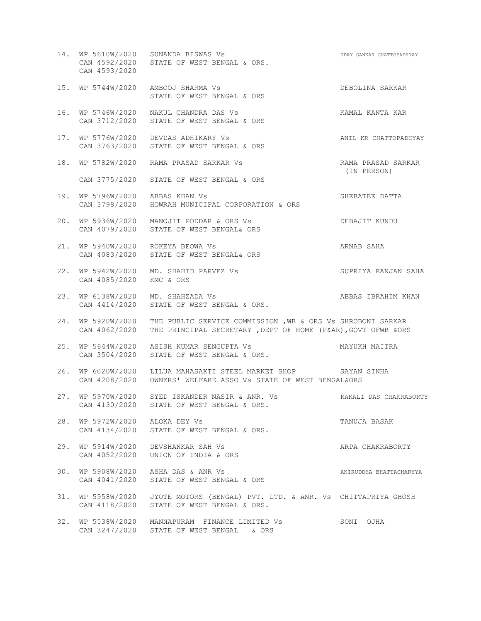14. WP 5610W/2020 SUNANDA BISWAS Vs UDAY SANKAR CHATTOPADHYAY CAN 4592/2020 STATE OF WEST BENGAL & ORS. CAN 4593/2020 15. WP 5744W/2020 AMBOOJ SHARMA Vs DEBOLINA SARKAR STATE OF WEST BENGAL & ORS 16. WP 5746W/2020 NAKUL CHANDRA DAS Vs Show CHANDRA SAR KAMAL KANTA KAR CAN 3712/2020 STATE OF WEST BENGAL & ORS 17. WP 5776W/2020 DEVDAS ADHIKARY Vs ANIL KR CHATTOPADHYAY CAN 3763/2020 STATE OF WEST BENGAL & ORS 18. WP 5782W/2020 RAMA PRASAD SARKAR Vs RAMA PRASAD SARKAR (IN PERSON) CAN 3775/2020 STATE OF WEST BENGAL & ORS 19. WP 5796W/2020 ABBAS KHAN Vs SHEBATEE DATTA CAN 3798/2020 HOWRAH MUNICIPAL CORPORATION & ORS 20. WP 5936W/2020 MANOJIT PODDAR & ORS Vs DEBAJIT KUNDU CAN 4079/2020 STATE OF WEST BENGAL& ORS 21. WP 5940W/2020 ROKEYA BEOWA Vs ARNAB SAHA CAN 4083/2020 STATE OF WEST BENGAL& ORS 22. WP 5942W/2020 MD. SHAHID PARVEZ Vs SUPRIYA RANJAN SAHA CAN 4085/2020 KMC & ORS 23. WP 6138W/2020 MD. SHAHZADA Vs And Abbas IBRAHIM KHAN CAN 4414/2020 STATE OF WEST BENGAL & ORS. 24. WP 5920W/2020 THE PUBLIC SERVICE COMMISSION ,WB & ORS Vs SHROBONI SARKAR CAN 4062/2020 THE PRINCIPAL SECRETARY ,DEPT OF HOME (P&AR),GOVT OFWB &ORS 25. WP 5644W/2020 ASISH KUMAR SENGUPTA Vs MAYUKH MAITRA CAN 3504/2020 STATE OF WEST BENGAL & ORS. 26. WP 6020W/2020 LILUA MAHASAKTI STEEL MARKET SHOP SAYAN SINHA CAN 4208/2020 OWNERS' WELFARE ASSO Vs STATE OF WEST BENGAL&ORS 27. WP 5970W/2020 SYED ISKANDER NASIR & ANR. Vs KAKALI DAS CHAKRABORTY CAN 4130/2020 STATE OF WEST BENGAL & ORS. 28. WP 5972W/2020 ALOKA DEY Vs TANUJA BASAK CAN 4134/2020 STATE OF WEST BENGAL & ORS. 29. WP 5914W/2020 DEVSHANKAR SAH Vs ARPA CHAKRABORTY CAN 4052/2020 UNION OF INDIA & ORS 30. WP 5908W/2020 ASHA DAS & ANR Vs ANIRUDDHA BHATTACHARYYA CAN 4041/2020 STATE OF WEST BENGAL & ORS 31. WP 5958W/2020 JYOTE MOTORS (BENGAL) PVT. LTD. & ANR. Vs CHITTAPRIYA GHOSH CAN 4118/2020 STATE OF WEST BENGAL & ORS. 32. WP 5538W/2020 MANNAPURAM FINANCE LIMITED Vs SONI OJHA CAN 3247/2020 STATE OF WEST BENGAL & ORS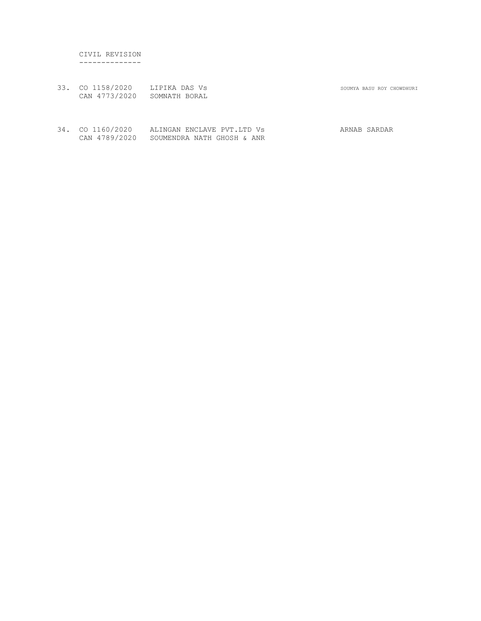CIVIL REVISION --------------

33. CO 1158/2020 LIPIKA DAS Vs SOUMYA BASU ROY CHOWDHURI CAN 4773/2020 SOMNATH BORAL

34. CO 1160/2020 ALINGAN ENCLAVE PVT.LTD Vs ARNAB SARDAR CAN 4789/2020 SOUMENDRA NATH GHOSH & ANR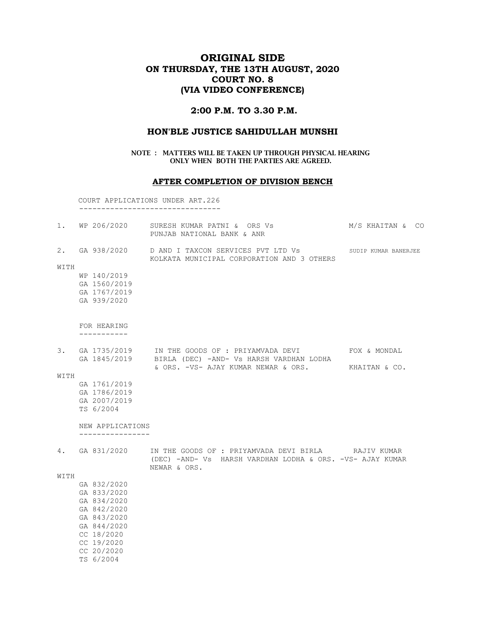# ORIGINAL SIDE ON THURSDAY, THE 13TH AUGUST, 2020 COURT NO. 8 (VIA VIDEO CONFERENCE)

## 2:00 P.M. TO 3.30 P.M.

### HON'BLE JUSTICE SAHIDULLAH MUNSHI

NOTE : MATTERS WILL BE TAKEN UP THROUGH PHYSICAL HEARING ONLY WHEN BOTH THE PARTIES ARE AGREED.

### AFTER COMPLETION OF DIVISION BENCH

COURT APPLICATIONS UNDER ART.226

--------------------------------

|      | 1. WP 206/2020                       | SURESH KUMAR PATNI & ORS Vs<br>PUNJAB NATIONAL BANK & ANR                                                                        | M/S KHAITAN & CO |
|------|--------------------------------------|----------------------------------------------------------------------------------------------------------------------------------|------------------|
|      |                                      | 2. GA 938/2020 D AND I TAXCON SERVICES PVT LTD Vs SUDIP KUMAR BANERJEE<br>KOLKATA MUNICIPAL CORPORATION AND 3 OTHERS             |                  |
| WITH |                                      |                                                                                                                                  |                  |
|      | WP 140/2019                          |                                                                                                                                  |                  |
|      | GA 1560/2019                         |                                                                                                                                  |                  |
|      | GA 1767/2019<br>GA 939/2020          |                                                                                                                                  |                  |
|      | FOR HEARING                          |                                                                                                                                  |                  |
|      |                                      |                                                                                                                                  |                  |
| 3.   |                                      | GA 1735/2019 IN THE GOODS OF : PRIYAMVADA DEVI<br>GA 1845/2019 BIRLA (DEC) -AND- Vs HARSH VARDHAN LODHA                          | FOX & MONDAL     |
|      |                                      | & ORS. -VS- AJAY KUMAR NEWAR & ORS.                                                                                              | KHAITAN & CO.    |
| WITH |                                      |                                                                                                                                  |                  |
|      | GA 1761/2019<br>GA 1786/2019         |                                                                                                                                  |                  |
|      | GA 2007/2019                         |                                                                                                                                  |                  |
|      | TS 6/2004                            |                                                                                                                                  |                  |
|      | NEW APPLICATIONS<br>---------------- |                                                                                                                                  |                  |
| 4.   | GA 831/2020                          | IN THE GOODS OF : PRIYAMVADA DEVI BIRLA RAJIV KUMAR<br>(DEC) -AND- Vs HARSH VARDHAN LODHA & ORS. -VS- AJAY KUMAR<br>NEWAR & ORS. |                  |
| WITH |                                      |                                                                                                                                  |                  |
|      | GA 832/2020                          |                                                                                                                                  |                  |
|      | GA 833/2020                          |                                                                                                                                  |                  |
|      | GA 834/2020                          |                                                                                                                                  |                  |
|      | GA 842/2020                          |                                                                                                                                  |                  |
|      | GA 843/2020<br>GA 844/2020           |                                                                                                                                  |                  |
|      | CC 18/2020                           |                                                                                                                                  |                  |
|      | CC 19/2020                           |                                                                                                                                  |                  |
|      | CC 20/2020                           |                                                                                                                                  |                  |
|      | TS 6/2004                            |                                                                                                                                  |                  |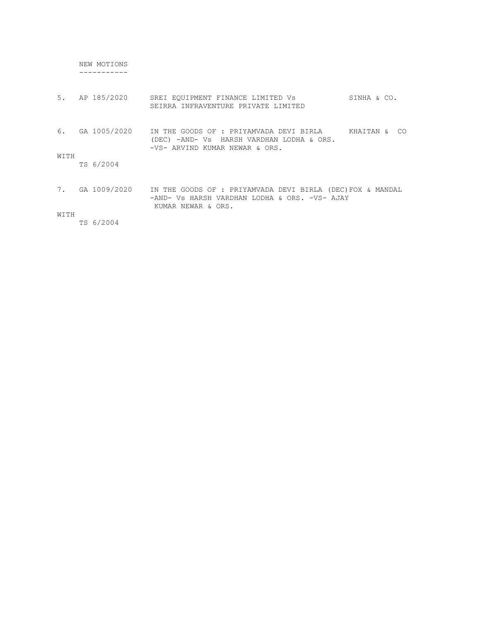NEW MOTIONS -----------

| 5.   | AP 185/2020  | SREI EOUIPMENT FINANCE LIMITED Vs<br>SEIRRA INFRAVENTURE PRIVATE LIMITED                                                         | SINHA & CO.       |
|------|--------------|----------------------------------------------------------------------------------------------------------------------------------|-------------------|
| 6.   | GA 1005/2020 | IN THE GOODS OF : PRIYAMVADA DEVI BIRLA<br>(DEC) -AND- Vs HARSH VARDHAN LODHA & ORS.<br>-VS- ARVIND KUMAR NEWAR & ORS.           | KHAITAN &<br>- CO |
| WITH | TS 6/2004    |                                                                                                                                  |                   |
| 7.   | GA 1009/2020 | IN THE GOODS OF : PRIYAMVADA DEVI BIRLA (DEC)FOX & MANDAL<br>-AND- Vs HARSH VARDHAN LODHA & ORS. -VS- AJAY<br>KUMAR NEWAR & ORS. |                   |

#### WITH

TS 6/2004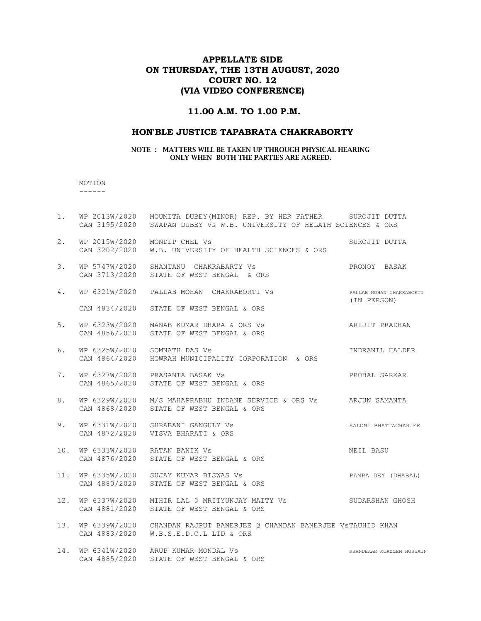## APPELLATE SIDE ON THURSDAY, THE 13TH AUGUST, 2020 COURT NO. 12 (VIA VIDEO CONFERENCE)

## 11.00 A.M. TO 1.00 P.M.

### HON'BLE JUSTICE TAPABRATA CHAKRABORTY

#### NOTE : MATTERS WILL BE TAKEN UP THROUGH PHYSICAL HEARING ONLY WHEN BOTH THE PARTIES ARE AGREED.

 MOTION ------

| $1$ . | CAN 3195/2020                  | WP 2013W/2020 MOUMITA DUBEY (MINOR) REP. BY HER FATHER SUROJIT DUTTA<br>SWAPAN DUBEY Vs W.B. UNIVERSITY OF HELATH SCIENCES & ORS |                                         |
|-------|--------------------------------|----------------------------------------------------------------------------------------------------------------------------------|-----------------------------------------|
| 2.    | WP 2015W/2020                  | MONDIP CHEL Vs<br>CAN 3202/2020 W.B. UNIVERSITY OF HEALTH SCIENCES & ORS                                                         | SUROJIT DUTTA                           |
| 3.    |                                | WP 5747W/2020 SHANTANU CHAKRABARTY Vs<br>CAN 3713/2020 STATE OF WEST BENGAL & ORS                                                | PRONOY BASAK                            |
| 4.    | WP 6321W/2020                  | PALLAB MOHAN CHAKRABORTI VS                                                                                                      | PALLAB MOHAN CHAKRABORTI<br>(IN PERSON) |
|       | CAN 4834/2020                  | STATE OF WEST BENGAL & ORS                                                                                                       |                                         |
| 5.    |                                | WP 6323W/2020 MANAB KUMAR DHARA & ORS Vs<br>CAN 4856/2020 STATE OF WEST BENGAL & ORS                                             | ARIJIT PRADHAN                          |
| 6.    | WP 6325W/2020<br>CAN 4864/2020 | SOMNATH DAS Vs<br>HOWRAH MUNICIPALITY CORPORATION & ORS                                                                          | INDRANIL HALDER                         |
| 7.    | WP 6327W/2020<br>CAN 4865/2020 | PRASANTA BASAK Vs<br>STATE OF WEST BENGAL & ORS                                                                                  | PROBAL SARKAR                           |
| 8.    |                                | WP 6329W/2020 M/S MAHAPRABHU INDANE SERVICE & ORS Vs ARJUN SAMANTA<br>CAN 4868/2020 STATE OF WEST BENGAL & ORS                   |                                         |
| 9.    | CAN 4872/2020                  | WP 6331W/2020 SHRABANI GANGULY Vs<br>VISVA BHARATI & ORS                                                                         | SALONI BHATTACHARJEE                    |
| 10.   | WP 6333W/2020                  | RATAN BANIK Vs<br>CAN 4876/2020 STATE OF WEST BENGAL & ORS                                                                       | NEIL BASU                               |
| 11.   |                                | WP 6335W/2020 SUJAY KUMAR BISWAS Vs<br>CAN 4880/2020 STATE OF WEST BENGAL & ORS                                                  | PAMPA DEY (DHABAL)                      |
| 12.   | CAN 4881/2020                  | WP 6337W/2020 MIHIR LAL @ MRITYUNJAY MAITY Vs SUDARSHAN GHOSH<br>STATE OF WEST BENGAL & ORS                                      |                                         |
| 13.   | CAN 4883/2020                  | WP 6339W/2020 CHANDAN RAJPUT BANERJEE @ CHANDAN BANERJEE VSTAUHID KHAN<br>W.B.S.E.D.C.L LTD & ORS                                |                                         |
| 14.   |                                | WP 6341W/2020 ARUP KUMAR MONDAL Vs<br>CAN 4885/2020 STATE OF WEST BENGAL & ORS                                                   | KHANDEKAR MOAZZEM HOSSAIN               |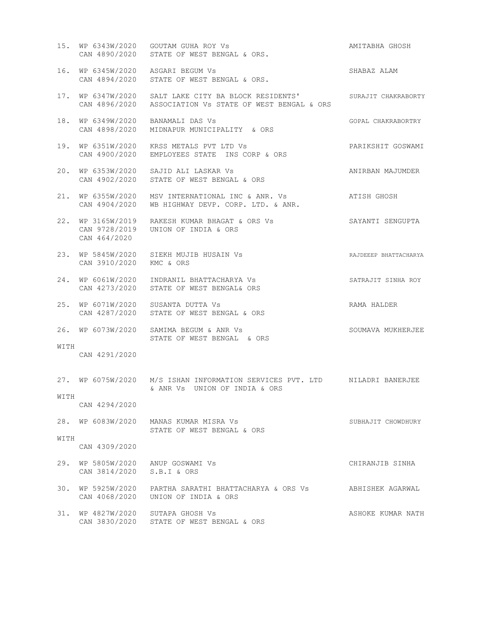|      |                                                                | WP 6343W/2020 GOUTAM GUHA ROY Vs<br>CAN 4890/2020 STATE OF WEST BENGAL & ORS.<br>15. WP 6343W/2020 GOUTAM GUHA ROY Vs           | AMITABHA GHOSH        |
|------|----------------------------------------------------------------|---------------------------------------------------------------------------------------------------------------------------------|-----------------------|
|      |                                                                | 16. WP 6345W/2020 ASGARI BEGUM Vs<br>CAN 4894/2020 STATE OF WEST BENGAL & ORS.                                                  | SHABAZ ALAM           |
| 17.  |                                                                | WP 6347W/2020 SALT LAKE CITY BA BLOCK RESIDENTS' SURAJIT CHAKRABORTY<br>CAN 4896/2020 ASSOCIATION Vs STATE OF WEST BENGAL & ORS |                       |
| 18.  | WP 6349W/2020<br>CAN 4898/2020                                 | BANAMALI DAS Vs<br>MIDNAPUR MUNICIPALITY & ORS                                                                                  | GOPAL CHAKRABORTRY    |
| 19.  | WP 6351W/2020                                                  | KRSS METALS PVT LTD Vs<br>CAN 4900/2020 EMPLOYEES STATE INS CORP & ORS                                                          | PARIKSHIT GOSWAMI     |
| 20.  |                                                                | WP 6353W/2020 SAJID ALI LASKAR Vs<br>CAN 4902/2020 STATE OF WEST BENGAL & ORS                                                   | ANIRBAN MAJUMDER      |
|      |                                                                | 21. WP 6355W/2020 MSV INTERNATIONAL INC & ANR. Vs<br>CAN 4904/2020 WB HIGHWAY DEVP. CORP. LTD. & ANR.                           | ATISH GHOSH           |
|      | 22. WP 3165W/2019<br>CAN 464/2020                              | RAKESH KUMAR BHAGAT & ORS Vs<br>CAN 9728/2019 UNION OF INDIA & ORS                                                              | SAYANTI SENGUPTA      |
| 23.  | CAN 3910/2020 KMC & ORS                                        | WP 5845W/2020 SIEKH MUJIB HUSAIN Vs                                                                                             | RAJDEEEP BHATTACHARYA |
| 24.  |                                                                | WP 6061W/2020 INDRANIL BHATTACHARYA Vs<br>CAN 4273/2020 STATE OF WEST BENGAL& ORS                                               | SATRAJIT SINHA ROY    |
| 25.  |                                                                | WP 6071W/2020 SUSANTA DUTTA Vs<br>CAN 4287/2020 STATE OF WEST BENGAL & ORS                                                      | RAMA HALDER           |
|      |                                                                | 26. WP 6073W/2020 SAMIMA BEGUM & ANR Vs<br>STATE OF WEST BENGAL & ORS                                                           | SOUMAVA MUKHERJEE     |
| WITH | CAN 4291/2020                                                  |                                                                                                                                 |                       |
| WITH |                                                                | 27. WP 6075W/2020 M/S ISHAN INFORMATION SERVICES PVT. LTD MILADRI BANERJEE<br>& ANR Vs UNION OF INDIA & ORS                     |                       |
|      | CAN 4294/2020                                                  |                                                                                                                                 |                       |
|      |                                                                | 28. WP 6083W/2020 MANAS KUMAR MISRA Vs<br>STATE OF WEST BENGAL & ORS                                                            | SUBHAJIT CHOWDHURY    |
| WITH | CAN 4309/2020                                                  |                                                                                                                                 |                       |
|      | 29. WP 5805W/2020 ANUP GOSWAMI Vs<br>CAN 3814/2020 S.B.I & ORS |                                                                                                                                 | CHIRANJIB SINHA       |
| 30.  |                                                                | WP 5925W/2020   PARTHA SARATHI BHATTACHARYA & ORS Vs<br>CAN 4068/2020 UNION OF INDIA & ORS                                      | ABHISHEK AGARWAL      |
| 31.  | WP 4827W/2020 SUTAPA GHOSH Vs                                  | CAN 3830/2020 STATE OF WEST BENGAL & ORS                                                                                        | ASHOKE KUMAR NATH     |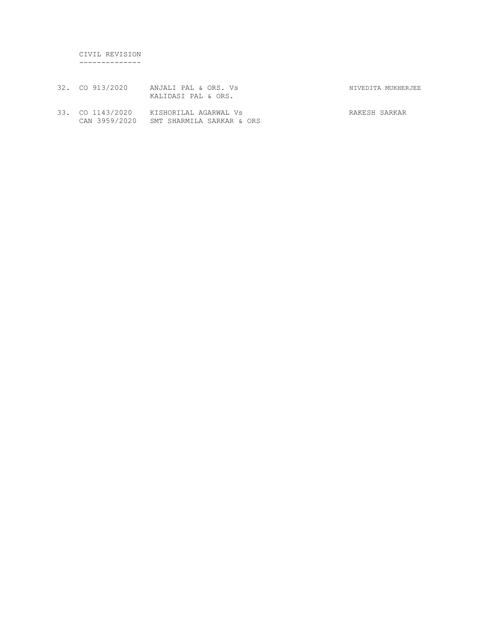CIVIL REVISION --------------

- 32. CO 913/2020 ANJALI PAL & ORS. Vs NIVEDITA MUKHERJEE KALIDASI PAL & ORS.
- 33. CO 1143/2020 KISHORILAL AGARWAL Vs RAKESH SARKAR CAN 3959/2020 SMT SHARMILA SARKAR & ORS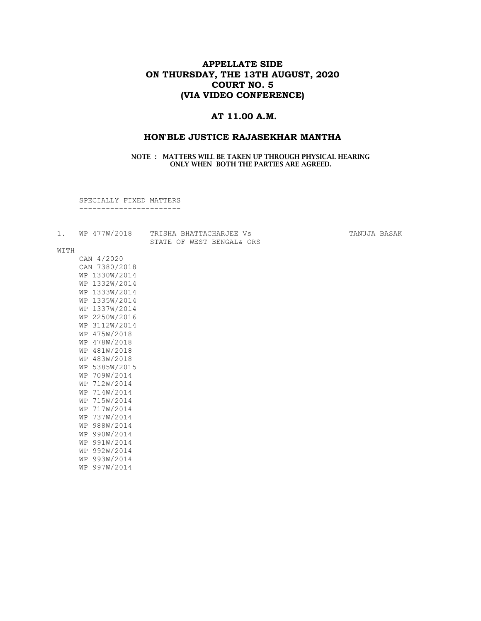## APPELLATE SIDE ON THURSDAY, THE 13TH AUGUST, 2020 COURT NO. 5 (VIA VIDEO CONFERENCE)

## AT 11.00 A.M.

#### HON'BLE JUSTICE RAJASEKHAR MANTHA

### NOTE : MATTERS WILL BE TAKEN UP THROUGH PHYSICAL HEARING ONLY WHEN BOTH THE PARTIES ARE AGREED.

SPECIALLY FIXED MATTERS

-----------------------

|  | WP 477W/2018 |  | TRISHA BHATTACHARJEE VS   |  |  |  |
|--|--------------|--|---------------------------|--|--|--|
|  |              |  | STATE OF WEST BENGAL& ORS |  |  |  |

ARJEE Vs TANUJA BASAK

#### WITH

| CAN 4/2020    |  |  |           |  |  |  |
|---------------|--|--|-----------|--|--|--|
| CAN 7380/2018 |  |  |           |  |  |  |
| WP 1330W/2014 |  |  |           |  |  |  |
| WP 1332W/2014 |  |  |           |  |  |  |
| WP 1333W/2014 |  |  |           |  |  |  |
| WP 1335W/2014 |  |  |           |  |  |  |
| WP 1337W/2014 |  |  |           |  |  |  |
| WP 2250W/2016 |  |  |           |  |  |  |
| WP 3112W/2014 |  |  |           |  |  |  |
| WP 475W/2018  |  |  |           |  |  |  |
| WP 478W/2018  |  |  |           |  |  |  |
| WP 481W/2018  |  |  |           |  |  |  |
| WP 483W/2018  |  |  |           |  |  |  |
| WP 5385W/2015 |  |  |           |  |  |  |
| WP            |  |  | 709W/2014 |  |  |  |
| WP 712W/2014  |  |  |           |  |  |  |
| WP 714W/2014  |  |  |           |  |  |  |
| WP 715W/2014  |  |  |           |  |  |  |
| WP 717W/2014  |  |  |           |  |  |  |
| WР            |  |  | 737W/2014 |  |  |  |
| WP 988W/2014  |  |  |           |  |  |  |
| WP 990W/2014  |  |  |           |  |  |  |
| WP 991W/2014  |  |  |           |  |  |  |
| WP 992W/2014  |  |  |           |  |  |  |
| WP 993W/2014  |  |  |           |  |  |  |
| WР            |  |  | 997W/2014 |  |  |  |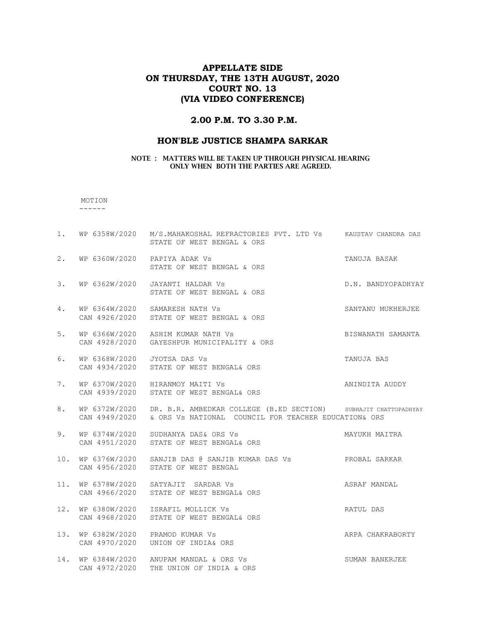## APPELLATE SIDE ON THURSDAY, THE 13TH AUGUST, 2020 COURT NO. 13 (VIA VIDEO CONFERENCE)

#### 2.00 P.M. TO 3.30 P.M.

#### HON'BLE JUSTICE SHAMPA SARKAR

#### NOTE : MATTERS WILL BE TAKEN UP THROUGH PHYSICAL HEARING ONLY WHEN BOTH THE PARTIES ARE AGREED.

### MOTION

------

1. WP 6358W/2020 M/S.MAHAKOSHAL REFRACTORIES PVT. LTD Vs KAUSTAV CHANDRA DAS STATE OF WEST BENGAL & ORS 2. WP 6360W/2020 PAPIYA ADAK Vs TANUJA BASAK STATE OF WEST BENGAL & ORS 3. WP 6362W/2020 JAYANTI HALDAR Vs D.N. BANDYOPADHYAY STATE OF WEST BENGAL & ORS 4. WP 6364W/2020 SAMARESH NATH Vs SANTANU MUKHERJEE CAN 4926/2020 STATE OF WEST BENGAL & ORS 5. WP 6366W/2020 ASHIM KUMAR NATH Vs BISWANATH SAMANTA CAN 4928/2020 GAYESHPUR MUNICIPALITY & ORS 6. WP 6368W/2020 JYOTSA DAS Vs TANUJA BAS CAN 4934/2020 STATE OF WEST BENGAL& ORS 7. WP 6370W/2020 HIRANMOY MAITI Vs **ANINDITA AUDDY**  CAN 4939/2020 STATE OF WEST BENGAL& ORS 8. WP 6372W/2020 DR. B.R. AMBEDKAR COLLEGE (B.ED SECTION) SUBHAJIT CHATTOPADHYAY CAN 4949/2020 & ORS Vs NATIONAL COUNCIL FOR TEACHER EDUCATION& ORS 9. WP 6374W/2020 SUDHANYA DAS& ORS Vs MAYUKH MAITRA CAN 4951/2020 STATE OF WEST BENGAL& ORS 10. WP 6376W/2020 SANJIB DAS @ SANJIB KUMAR DAS Vs PROBAL SARKAR CAN 4956/2020 STATE OF WEST BENGAL 11. WP 6378W/2020 SATYAJIT SARDAR Vs ASRAF MANDAL CAN 4966/2020 STATE OF WEST BENGAL& ORS 12. WP 6380W/2020 ISRAFIL MOLLICK Vs RATUL DAS CAN 4968/2020 STATE OF WEST BENGAL& ORS 13. WP 6382W/2020 PRAMOD KUMAR Vs ARPA CHAKRABORTY CAN 4970/2020 UNION OF INDIA& ORS 14. WP 6384W/2020 ANUPAM MANDAL & ORS Vs SUMAN BANERJEE CAN 4972/2020 THE UNION OF INDIA & ORS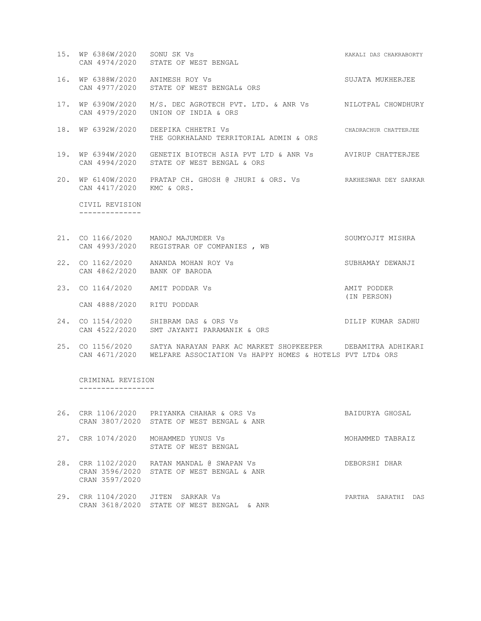- 15. WP 6386W/2020 SONU SK Vs KAKALI DAS CHAKRABORTY CAN 4974/2020 STATE OF WEST BENGAL
- 16. WP 6388W/2020 ANIMESH ROY Vs SUJATA MUKHERJEE CAN 4977/2020 STATE OF WEST BENGAL& ORS
- 17. WP 6390W/2020 M/S. DEC AGROTECH PVT. LTD. & ANR Vs NILOTPAL CHOWDHURY CAN 4979/2020 UNION OF INDIA & ORS
- 18. WP 6392W/2020 DEEPIKA CHHETRI Vs CHADRACHUR CHATTERJEE THE GORKHALAND TERRITORIAL ADMIN & ORS
- 19. WP 6394W/2020 GENETIX BIOTECH ASIA PVT LTD & ANR Vs AVIRUP CHATTERJEE CAN 4994/2020 STATE OF WEST BENGAL & ORS
- 20. WP 6140W/2020 PRATAP CH. GHOSH @ JHURI & ORS. Vs RAKHESWAR DEY SARKAR CAN 4417/2020 KMC & ORS.

 CIVIL REVISION --------------

- 21. CO 1166/2020 MANOJ MAJUMDER VS SOUMYOJIT MISHRA CAN 4993/2020 REGISTRAR OF COMPANIES , WB
- 22. CO 1162/2020 ANANDA MOHAN ROY Vs SUBHAMAY DEWANJI CAN 4862/2020 BANK OF BARODA
- 23. CO 1164/2020 AMIT PODDAR Vs AMIT PODDER (IN PERSON) CAN 4888/2020 RITU PODDAR
- 24. CO 1154/2020 SHIBRAM DAS & ORS Vs **DILIP KUMAR SADHU** CAN 4522/2020 SMT JAYANTI PARAMANIK & ORS
- 25. CO 1156/2020 SATYA NARAYAN PARK AC MARKET SHOPKEEPER DEBAMITRA ADHIKARI CAN 4671/2020 WELFARE ASSOCIATION Vs HAPPY HOMES & HOTELS PVT LTD& ORS

 CRIMINAL REVISION -----------------

- 26. CRR 1106/2020 PRIYANKA CHAHAR & ORS Vs BAIDURYA GHOSAL CRAN 3807/2020 STATE OF WEST BENGAL & ANR 27. CRR 1074/2020 MOHAMMED YUNUS Vs **MOHAMMED** TABRAIZ
- STATE OF WEST BENGAL
- 28. CRR 1102/2020 RATAN MANDAL @ SWAPAN Vs DEBORSHI DHAR CRAN 3596/2020 STATE OF WEST BENGAL & ANR CRAN 3597/2020
- 29. CRR 1104/2020 JITEN SARKAR Vs PARTHA SARATHI DAS CRAN 3618/2020 STATE OF WEST BENGAL & ANR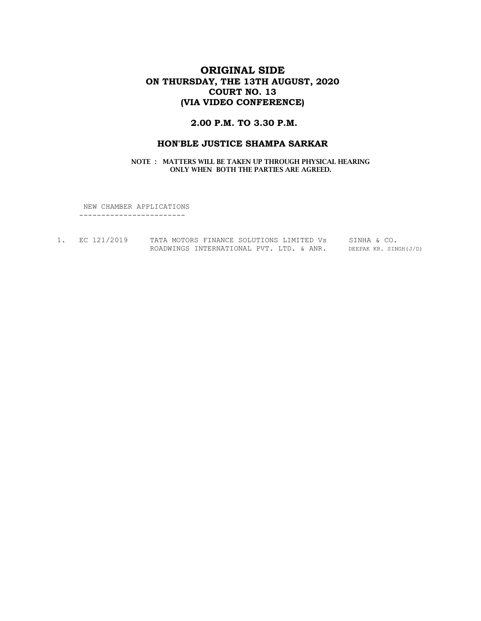# ORIGINAL SIDE ON THURSDAY, THE 13TH AUGUST, 2020 COURT NO. 13 (VIA VIDEO CONFERENCE)

## 2.00 P.M. TO 3.30 P.M.

### HON'BLE JUSTICE SHAMPA SARKAR

NOTE : MATTERS WILL BE TAKEN UP THROUGH PHYSICAL HEARING ONLY WHEN BOTH THE PARTIES ARE AGREED.

 NEW CHAMBER APPLICATIONS ------------------------

| EC 121/2019 | TATA MOTORS FINANCE SOLUTIONS LIMITED Vs |  |  | SINHA & CO. |                       |
|-------------|------------------------------------------|--|--|-------------|-----------------------|
|             | ROADWINGS INTERNATIONAL PVT. LTD. & ANR. |  |  |             | DEEPAK KR. SINGH(J/D) |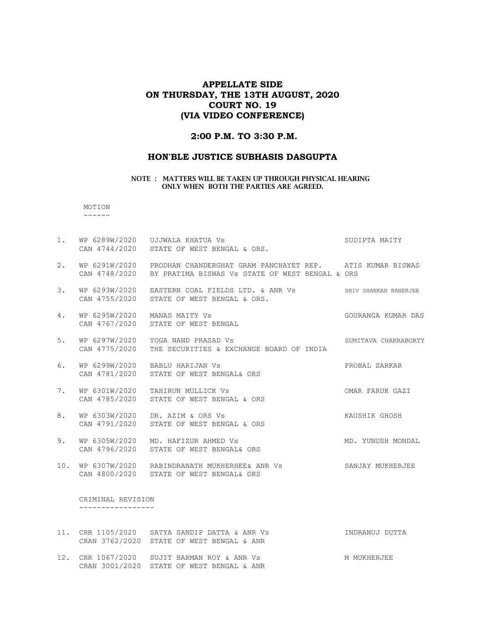## APPELLATE SIDE ON THURSDAY, THE 13TH AUGUST, 2020 COURT NO. 19 (VIA VIDEO CONFERENCE)

### 2:00 P.M. TO 3:30 P.M.

### HON'BLE JUSTICE SUBHASIS DASGUPTA

#### NOTE : MATTERS WILL BE TAKEN UP THROUGH PHYSICAL HEARING ONLY WHEN BOTH THE PARTIES ARE AGREED.

 MOTION ------

1. WP 6289W/2020 UJJWALA KHATUA Vs SUDIPTA MAITY CAN 4744/2020 STATE OF WEST BENGAL & ORS. 2. WP 6291W/2020 PRODHAN CHANDERGHAT GRAM PANCHAYET REP. ATIS KUMAR BISWAS CAN 4748/2020 BY PRATIMA BISWAS Vs STATE OF WEST BENGAL & ORS 3. WP 6293W/2020 EASTERN COAL FIELDS LTD. & ANR Vs SHIV SHANKAR BANERJEE CAN 4755/2020 STATE OF WEST BENGAL & ORS. 4. WP 6295W/2020 MANAS MAITY Vs GOURANGA KUMAR DAS CAN 4767/2020 STATE OF WEST BENGAL 5. WP 6297W/2020 YOGA NAND PRASAD Vs SUMITAVA CHAKRABORTY CAN 4775/2020 THE SECURITIES & EXCHANGE BOARD OF INDIA 6. WP 6299W/2020 BABLU HARIJAN Vs PROBAL SARKAR CAN 4781/2020 STATE OF WEST BENGAL& ORS 7. WP 6301W/2020 TAHIRUN MULLICK Vs OMAR FARUK GAZI CAN 4785/2020 STATE OF WEST BENGAL & ORS 8. WP 6303W/2020 DR. AZIM & ORS Vs Sand Control of Manushik Ghosh CAN 4791/2020 STATE OF WEST BENGAL & ORS 9. WP 6305W/2020 MD. HAFIZUR AHMED Vs MONDAL MONDAL CAN 4796/2020 STATE OF WEST BENGAL& ORS 10. WP 6307W/2020 RABINDRANATH MUKHERHEE& ANR Vs SANJAY MUKHERJEE CAN 4800/2020 STATE OF WEST BENGAL& ORS CRIMINAL REVISION -----------------

 CRAN 3762/2020 STATE OF WEST BENGAL & ANR 12. CRR 1067/2020 SUJIT BARMAN ROY & ANR Vs MAN MUKHERJEE CRAN 3001/2020 STATE OF WEST BENGAL & ANR

11. CRR 1105/2020 SATYA SANDIP DATTA & ANR Vs INDRANUJ DUTTA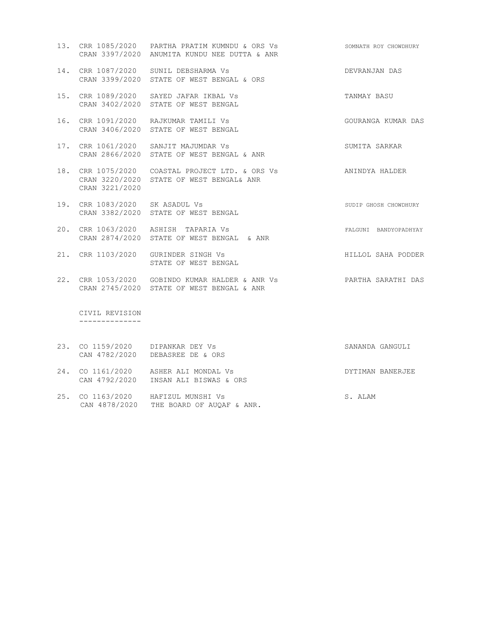- 13. CRR 1085/2020 PARTHA PRATIM KUMNDU & ORS Vs SOMNATH ROY CHOWDHURY CRAN 3397/2020 ANUMITA KUNDU NEE DUTTA & ANR
- 14. CRR 1087/2020 SUNIL DEBSHARMA Vs DEVRANJAN DAS CRAN 3399/2020 STATE OF WEST BENGAL & ORS
- 15. CRR 1089/2020 SAYED JAFAR IKBAL Vs **TANMAY BASU** CRAN 3402/2020 STATE OF WEST BENGAL
- 16. CRR 1091/2020 RAJKUMAR TAMILI Vs GOURANGA KUMAR DAS CRAN 3406/2020 STATE OF WEST BENGAL
- 17. CRR 1061/2020 SANJIT MAJUMDAR Vs SUMITA SARKAR CRAN 2866/2020 STATE OF WEST BENGAL & ANR
- 18. CRR 1075/2020 COASTAL PROJECT LTD. & ORS Vs ANINDYA HALDER CRAN 3220/2020 STATE OF WEST BENGAL& ANR CRAN 3221/2020
- 19. CRR 1083/2020 SK ASADUL Vs SUDIP GHOSH CHOWDHURY CRAN 3382/2020 STATE OF WEST BENGAL
- 20. CRR 1063/2020 ASHISH TAPARIA Vs FALGUNI BANDYOPADHYAY CRAN 2874/2020 STATE OF WEST BENGAL & ANR
- 21. CRR 1103/2020 GURINDER SINGH Vs **HILLOL SAHA PODDER** STATE OF WEST BENGAL
- 22. CRR 1053/2020 GOBINDO KUMAR HALDER & ANR Vs PARTHA SARATHI DAS CRAN 2745/2020 STATE OF WEST BENGAL & ANR

 CIVIL REVISION --------------

- 23. CO 1159/2020 DIPANKAR DEY Vs SANANDA GANGULI CAN 4782/2020 DEBASREE DE & ORS
- 24. CO 1161/2020 ASHER ALI MONDAL Vs **DYTIMAN BANERJEE** CAN 4792/2020 INSAN ALI BISWAS & ORS
- 25. CO 1163/2020 HAFIZUL MUNSHI Vs S. ALAM CAN 4878/2020 THE BOARD OF AUQAF & ANR.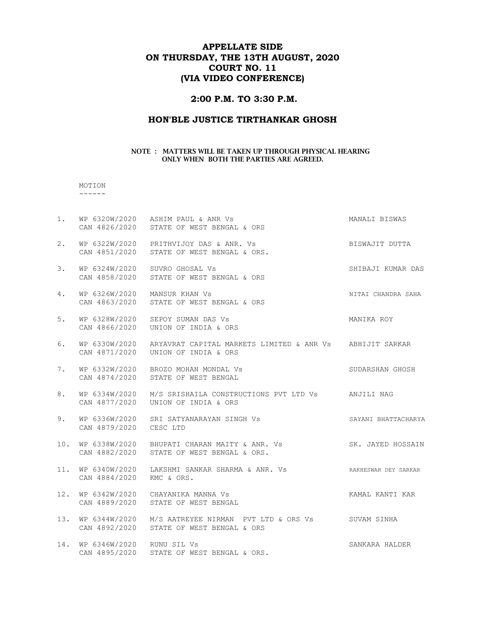## APPELLATE SIDE ON THURSDAY, THE 13TH AUGUST, 2020 COURT NO. 11 (VIA VIDEO CONFERENCE)

## 2:00 P.M. TO 3:30 P.M.

## HON'BLE JUSTICE TIRTHANKAR GHOSH

#### NOTE : MATTERS WILL BE TAKEN UP THROUGH PHYSICAL HEARING ONLY WHEN BOTH THE PARTIES ARE AGREED.

#### MOTION ------

| $1$ . |                              | WP 6320W/2020 ASHIM PAUL & ANR Vs<br>CAN 4826/2020 STATE OF WEST BENGAL & ORS                                   | MANALI BISWAS      |
|-------|------------------------------|-----------------------------------------------------------------------------------------------------------------|--------------------|
| 2.    |                              | WP 6322W/2020 PRITHVIJOY DAS & ANR. Vs<br>CAN 4851/2020 STATE OF WEST BENGAL & ORS.                             | BISWAJIT DUTTA     |
| 3.    |                              | WP 6324W/2020 SUVRO GHOSAL Vs<br>CAN 4858/2020 STATE OF WEST BENGAL & ORS                                       | SHIBAJI KUMAR DAS  |
| 4.    | WP 6326W/2020 MANSUR KHAN Vs | CAN 4863/2020 STATE OF WEST BENGAL & ORS                                                                        | NITAI CHANDRA SAHA |
| 5.    |                              | WP 6328W/2020 SEPOY SUMAN DAS Vs<br>CAN 4866/2020    UNION OF INDIA & ORS                                       | MANIKA ROY         |
| 6.    |                              | WP 6330W/2020 ARYAVRAT CAPITAL MARKETS LIMITED & ANR Vs ABHIJIT SARKAR<br>CAN 4871/2020    UNION OF INDIA & ORS |                    |
| 7.    |                              | WP 6332W/2020 BROZO MOHAN MONDAL Vs<br>CAN 4874/2020 STATE OF WEST BENGAL                                       | SUDARSHAN GHOSH    |
|       |                              |                                                                                                                 |                    |
| 8.    |                              | WP 6334W/2020 M/S SRISHAILA CONSTRUCTIONS PVT LTD Vs ANJILI NAG<br>CAN 4877/2020    UNION OF INDIA & ORS        |                    |
| 9.    | CAN 4879/2020 CESC LTD       | WP 6336W/2020 SRI SATYANARAYAN SINGH Vs SAYANI BHATTACHARYA                                                     |                    |
| 10.   |                              | WP 6338W/2020 BHUPATI CHARAN MAITY & ANR. Vs SK. JAYED HOSSAIN<br>CAN 4882/2020 STATE OF WEST BENGAL & ORS.     |                    |
|       | CAN 4884/2020 KMC & ORS.     | 11. WP 6340W/2020 LAKSHMI SANKAR SHARMA & ANR. Vs SARKHESWAR DEY SARKAR                                         |                    |
|       |                              | KAMAL KANTI KAR<br>12. WP 6342W/2020 CHAYANIKA MANNA Vs<br>CAN 4889/2020 STATE OF WEST BENGAL                   |                    |
| 13.   |                              | WP 6344W/2020 M/S AATREYEE NIRMAN PVT LTD & ORS Vs SUVAM SINHA<br>CAN 4892/2020 STATE OF WEST BENGAL & ORS      |                    |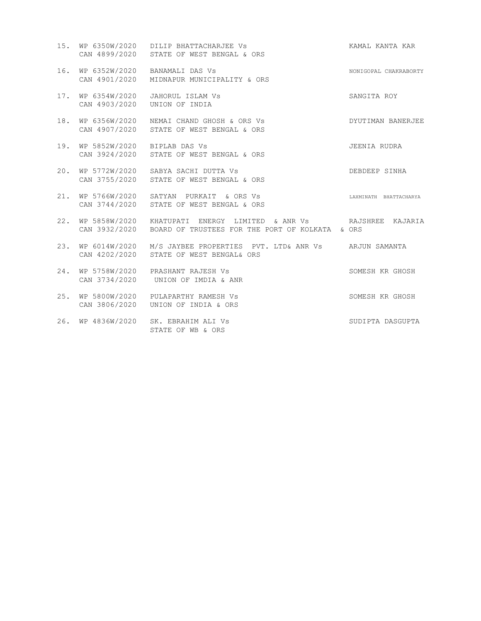|     |                                               | 15. WP 6350W/2020 DILIP BHATTACHARJEE Vs<br>CAN 4899/2020 STATE OF WEST BENGAL & ORS                              | KAMAL KANTA KAR        |
|-----|-----------------------------------------------|-------------------------------------------------------------------------------------------------------------------|------------------------|
| 16. | CAN 4901/2020                                 | WP 6352W/2020 BANAMALI DAS Vs<br>MIDNAPUR MUNICIPALITY & ORS                                                      | NONIGOPAL CHAKRABORTY  |
| 17. | WP 6354W/2020<br>CAN 4903/2020 UNION OF INDIA | JAHORUL ISLAM Vs                                                                                                  | SANGITA ROY            |
| 18. |                                               | WP 6356W/2020 NEMAI CHAND GHOSH & ORS Vs<br>CAN 4907/2020 STATE OF WEST BENGAL & ORS                              | DYUTIMAN BANERJEE      |
| 19. | WP 5852W/2020 BIPLAB DAS Vs                   | CAN 3924/2020 STATE OF WEST BENGAL & ORS                                                                          | JEENIA RUDRA           |
| 20. |                                               | WP 5772W/2020 SABYA SACHI DUTTA Vs<br>CAN 3755/2020 STATE OF WEST BENGAL & ORS                                    | DEBDEEP SINHA          |
| 21. |                                               | WP 5766W/2020 SATYAN PURKAIT & ORS Vs<br>CAN 3744/2020 STATE OF WEST BENGAL & ORS                                 | LAXMINATH BHATTACHARYA |
| 22. | WP 5858W/2020<br>CAN 3932/2020                | KHATUPATI ENERGY LIMITED & ANR VS             RAJSHREE KAJARIA<br>BOARD OF TRUSTEES FOR THE PORT OF KOLKATA & ORS |                        |
| 23. | WP 6014W/2020                                 | M/S JAYBEE PROPERTIES PVT. LTD& ANR Vs ARJUN SAMANTA<br>CAN 4202/2020 STATE OF WEST BENGAL& ORS                   |                        |
| 24. |                                               | WP 5758W/2020 PRASHANT RAJESH Vs<br>CAN 3734/2020 UNION OF IMDIA & ANR                                            | SOMESH KR GHOSH        |
| 25. |                                               | WP 5800W/2020 PULAPARTHY RAMESH Vs<br>CAN 3806/2020 UNION OF INDIA & ORS                                          | SOMESH KR GHOSH        |
|     |                                               | 26. WP 4836W/2020 SK. EBRAHIM ALI Vs<br>STATE OF WB & ORS                                                         | SUDIPTA DASGUPTA       |